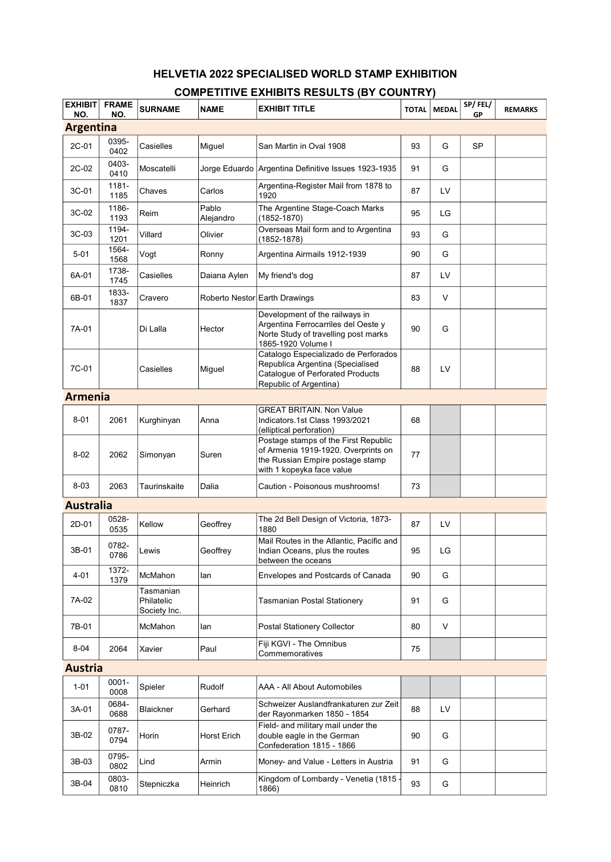## HELVETIA 2022 SPECIALISED WORLD STAMP EXHIBITION COMPETITIVE EXHIBITS RESULTS (BY COUNTRY)

| <b>EXHIBIT</b><br>NO. | <b>FRAME</b><br>NO. | <b>SURNAME</b>                          | <b>NAME</b>        | <b>EXHIBIT TITLE</b>                                                                                                                         | <b>TOTAL</b> | <b>MEDAL</b> | SP/FEL/<br>GP | <b>REMARKS</b> |
|-----------------------|---------------------|-----------------------------------------|--------------------|----------------------------------------------------------------------------------------------------------------------------------------------|--------------|--------------|---------------|----------------|
| <b>Argentina</b>      |                     |                                         |                    |                                                                                                                                              |              |              |               |                |
| 2C-01                 | 0395-<br>0402       | Casielles                               | Miguel             | San Martin in Oval 1908                                                                                                                      | 93           | G            | <b>SP</b>     |                |
| 2C-02                 | 0403-<br>0410       | Moscatelli                              |                    | Jorge Eduardo   Argentina Definitive Issues 1923-1935                                                                                        | 91           | G            |               |                |
| 3C-01                 | 1181-<br>1185       | Chaves                                  | Carlos             | Argentina-Register Mail from 1878 to<br>1920                                                                                                 | 87           | LV           |               |                |
| 3C-02                 | 1186-<br>1193       | Reim                                    | Pablo<br>Alejandro | The Argentine Stage-Coach Marks<br>(1852-1870)                                                                                               | 95           | LG           |               |                |
| 3C-03                 | 1194-<br>1201       | Villard                                 | Olivier            | Overseas Mail form and to Argentina<br>(1852-1878)                                                                                           | 93           | G            |               |                |
| $5 - 01$              | 1564-<br>1568       | Vogt                                    | Ronny              | Argentina Airmails 1912-1939                                                                                                                 | 90           | G            |               |                |
| 6A-01                 | 1738-<br>1745       | Casielles                               | Daiana Aylen       | My friend's dog                                                                                                                              | 87           | LV           |               |                |
| 6B-01                 | 1833-<br>1837       | Cravero                                 |                    | Roberto Nestor Earth Drawings                                                                                                                | 83           | V            |               |                |
| 7A-01                 |                     | Di Lalla                                | Hector             | Development of the railways in<br>Argentina Ferrocarriles del Oeste y<br>Norte Study of travelling post marks<br>1865-1920 Volume I          | 90           | G            |               |                |
| 7C-01                 |                     | Casielles                               | Miguel             | Catalogo Especializado de Perforados<br>Republica Argentina (Specialised<br>Cataloque of Perforated Products<br>Republic of Argentina)       | 88           | LV           |               |                |
| <b>Armenia</b>        |                     |                                         |                    |                                                                                                                                              |              |              |               |                |
| $8 - 01$              | 2061                | Kurghinyan                              | Anna               | <b>GREAT BRITAIN. Non Value</b><br>Indicators.1st Class 1993/2021<br>(elliptical perforation)                                                | 68           |              |               |                |
| $8 - 02$              | 2062                | Simonyan                                | Suren              | Postage stamps of the First Republic<br>of Armenia 1919-1920. Overprints on<br>the Russian Empire postage stamp<br>with 1 kopeyka face value | 77           |              |               |                |
| $8 - 03$              | 2063                | Taurinskaite                            | Dalia              | Caution - Poisonous mushrooms!                                                                                                               | 73           |              |               |                |
| <b>Australia</b>      |                     |                                         |                    |                                                                                                                                              |              |              |               |                |
| 2D-01                 | 0528-<br>0535       | Kellow                                  | Geoffrey           | The 2d Bell Design of Victoria, 1873-<br>1880                                                                                                | 87           | LV           |               |                |
| 3B-01                 | 0782-<br>0786       | Lewis                                   | Geoffrey           | Mail Routes in the Atlantic, Pacific and<br>Indian Oceans, plus the routes<br>between the oceans                                             | 95           | LG           |               |                |
| 4-01                  | 1372-<br>1379       | <b>McMahon</b>                          | lan                | Envelopes and Postcards of Canada                                                                                                            | 90           | G            |               |                |
| 7A-02                 |                     | Tasmanian<br>Philatelic<br>Society Inc. |                    | Tasmanian Postal Stationery                                                                                                                  | 91           | G            |               |                |
| 7B-01                 |                     | McMahon                                 | lan                | <b>Postal Stationery Collector</b>                                                                                                           | 80           | V            |               |                |
| $8 - 04$              | 2064                | Xavier                                  | Paul               | Fiji KGVI - The Omnibus<br>Commemoratives                                                                                                    | 75           |              |               |                |
| <b>Austria</b>        |                     |                                         |                    |                                                                                                                                              |              |              |               |                |
| $1 - 01$              | $0001 -$<br>0008    | Spieler                                 | Rudolf             | AAA - All About Automobiles                                                                                                                  |              |              |               |                |
| 3A-01                 | 0684-<br>0688       | Blaickner                               | Gerhard            | Schweizer Auslandfrankaturen zur Zeit<br>der Rayonmarken 1850 - 1854                                                                         | 88           | LV           |               |                |
| 3B-02                 | 0787-<br>0794       | Horin                                   | Horst Erich        | Field- and military mail under the<br>double eagle in the German<br>Confederation 1815 - 1866                                                | 90           | G            |               |                |
| 3B-03                 | 0795-<br>0802       | Lind                                    | Armin              | Money- and Value - Letters in Austria                                                                                                        | 91           | G            |               |                |
| 3B-04                 | 0803-<br>0810       | Stepniczka                              | Heinrich           | Kingdom of Lombardy - Venetia (1815<br>1866)                                                                                                 | 93           | G            |               |                |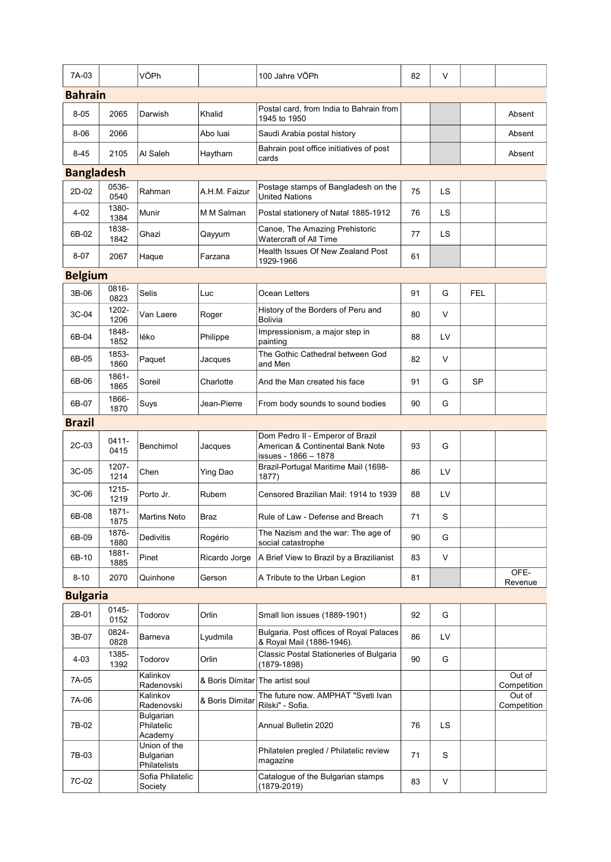| 7A-03             |               | VÖPh                                      |                                 | 100 Jahre VÖPh                                                                               | 82 | V         |            |                       |  |
|-------------------|---------------|-------------------------------------------|---------------------------------|----------------------------------------------------------------------------------------------|----|-----------|------------|-----------------------|--|
| <b>Bahrain</b>    |               |                                           |                                 |                                                                                              |    |           |            |                       |  |
| $8 - 05$          | 2065          | Darwish                                   | Khalid                          | Postal card, from India to Bahrain from<br>1945 to 1950                                      |    |           |            | Absent                |  |
| $8 - 06$          | 2066          |                                           | Abo luai                        | Saudi Arabia postal history                                                                  |    |           |            | Absent                |  |
| $8 - 45$          | 2105          | Al Saleh                                  | Haytham                         | Bahrain post office initiatives of post<br>cards                                             |    |           |            | Absent                |  |
| <b>Bangladesh</b> |               |                                           |                                 |                                                                                              |    |           |            |                       |  |
| 2D-02             | 0536-<br>0540 | Rahman                                    | A.H.M. Faizur                   | Postage stamps of Bangladesh on the<br><b>United Nations</b>                                 | 75 | LS        |            |                       |  |
| $4 - 02$          | 1380-<br>1384 | Munir                                     | M M Salman                      | Postal stationery of Natal 1885-1912                                                         | 76 | <b>LS</b> |            |                       |  |
| 6B-02             | 1838-<br>1842 | Ghazi                                     | Qayyum                          | Canoe, The Amazing Prehistoric<br>Watercraft of All Time                                     | 77 | LS        |            |                       |  |
| $8 - 07$          | 2067          | Haque                                     | Farzana                         | Health Issues Of New Zealand Post<br>1929-1966                                               | 61 |           |            |                       |  |
| <b>Belgium</b>    |               |                                           |                                 |                                                                                              |    |           |            |                       |  |
| 3B-06             | 0816-<br>0823 | <b>Selis</b>                              | Luc                             | Ocean Letters                                                                                | 91 | G         | <b>FEL</b> |                       |  |
| 3C-04             | 1202-<br>1206 | Van Laere                                 | Roger                           | History of the Borders of Peru and<br>Bolivia                                                | 80 | V         |            |                       |  |
| 6B-04             | 1848-<br>1852 | léko                                      | Philippe                        | Impressionism, a major step in<br>painting                                                   | 88 | LV        |            |                       |  |
| 6B-05             | 1853-<br>1860 | Paquet                                    | Jacques                         | The Gothic Cathedral between God<br>and Men                                                  | 82 | V         |            |                       |  |
| 6B-06             | 1861-<br>1865 | Soreil                                    | Charlotte                       | And the Man created his face                                                                 | 91 | G         | <b>SP</b>  |                       |  |
| 6B-07             | 1866-<br>1870 | Suys                                      | Jean-Pierre                     | From body sounds to sound bodies                                                             | 90 | G         |            |                       |  |
| <b>Brazil</b>     |               |                                           |                                 |                                                                                              |    |           |            |                       |  |
| 2C-03             | 0411-<br>0415 | Benchimol                                 | Jacques                         | Dom Pedro II - Emperor of Brazil<br>American & Continental Bank Note<br>issues - 1866 – 1878 | 93 | G         |            |                       |  |
| 3C-05             | 1207-<br>1214 | Chen                                      | Ying Dao                        | Brazil-Portugal Maritime Mail (1698-<br>1877)                                                | 86 | LV        |            |                       |  |
| 3C-06             | 1215-<br>1219 | Porto Jr.                                 | Rubem                           | Censored Brazilian Mail: 1914 to 1939                                                        | 88 | LV        |            |                       |  |
| 6B-08             | 1871-<br>1875 | <b>Martins Neto</b>                       | Braz                            | Rule of Law - Defense and Breach                                                             | 71 | S         |            |                       |  |
| 6B-09             | 1876-<br>1880 | Dedivitis                                 | Rogério                         | The Nazism and the war: The age of<br>social catastrophe                                     | 90 | G         |            |                       |  |
| 6B-10             | 1881-<br>1885 | Pinet                                     | Ricardo Jorge                   | A Brief View to Brazil by a Brazilianist                                                     | 83 | Λ         |            |                       |  |
| $8 - 10$          | 2070          | Quinhone                                  | Gerson                          | A Tribute to the Urban Legion                                                                | 81 |           |            | OFE-<br>Revenue       |  |
| <b>Bulgaria</b>   |               |                                           |                                 |                                                                                              |    |           |            |                       |  |
| 2B-01             | 0145-<br>0152 | Todorov                                   | Orlin                           | Small lion issues (1889-1901)                                                                | 92 | G         |            |                       |  |
| 3B-07             | 0824-<br>0828 | Barneva                                   | Lyudmila                        | Bulgaria. Post offices of Royal Palaces<br>& Royal Mail (1886-1946).                         | 86 | LV        |            |                       |  |
| 4-03              | 1385-<br>1392 | Todorov                                   | Orlin                           | Classic Postal Stationeries of Bulgaria<br>(1879-1898)                                       | 90 | G         |            |                       |  |
| 7A-05             |               | Kalinkov<br>Radenovski                    | & Boris Dimitar The artist soul |                                                                                              |    |           |            | Out of<br>Competition |  |
| 7A-06             |               | Kalinkov<br>Radenovski                    | & Boris Dimitar                 | The future now. AMPHAT "Sveti Ivan<br>Rilski" - Sofia.                                       |    |           |            | Out of<br>Competition |  |
| 7B-02             |               | Bulgarian<br>Philatelic<br>Academy        |                                 | Annual Bulletin 2020                                                                         | 76 | LS        |            |                       |  |
| 7B-03             |               | Union of the<br>Bulgarian<br>Philatelists |                                 | Philatelen pregled / Philatelic review<br>magazine                                           | 71 | S         |            |                       |  |
| 7C-02             |               | Sofia Philatelic<br>Society               |                                 | Catalogue of the Bulgarian stamps<br>(1879-2019)                                             | 83 | V         |            |                       |  |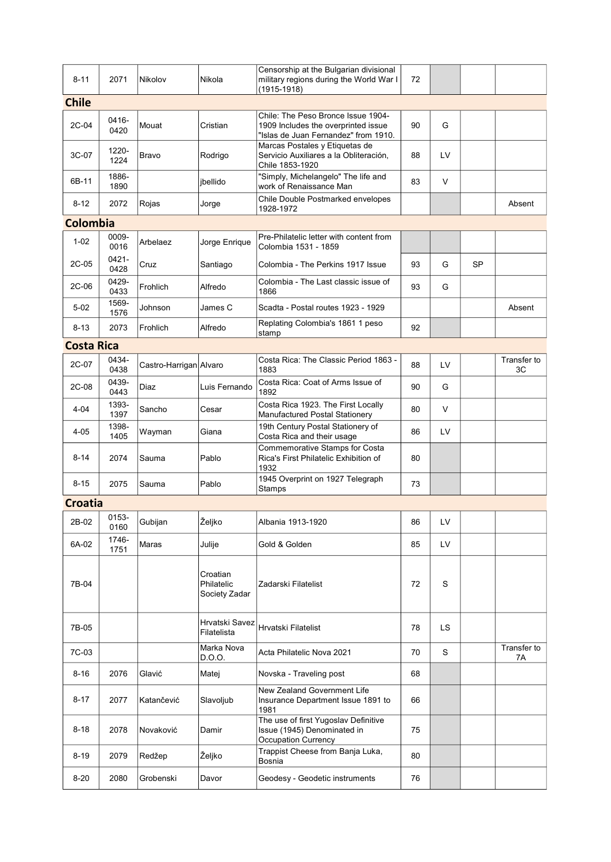| $8 - 11$          | 2071          | Nikolov                | Nikola                                  | Censorship at the Bulgarian divisional<br>military regions during the World War I<br>(1915-1918)                  | 72 |    |           |                   |
|-------------------|---------------|------------------------|-----------------------------------------|-------------------------------------------------------------------------------------------------------------------|----|----|-----------|-------------------|
| <b>Chile</b>      |               |                        |                                         |                                                                                                                   |    |    |           |                   |
| 2C-04             | 0416-<br>0420 | Mouat                  | Cristian                                | Chile: The Peso Bronce Issue 1904-<br>1909 Includes the overprinted issue<br>"Islas de Juan Fernandez" from 1910. | 90 | G  |           |                   |
| 3C-07             | 1220-<br>1224 | Bravo                  | Rodrigo                                 | Marcas Postales y Etiquetas de<br>Servicio Auxiliares a la Obliteración,<br>Chile 1853-1920                       | 88 | LV |           |                   |
| 6B-11             | 1886-<br>1890 |                        | jbellido                                | "Simply, Michelangelo" The life and<br>work of Renaissance Man                                                    | 83 | V  |           |                   |
| $8 - 12$          | 2072          | Rojas                  | Jorge                                   | Chile Double Postmarked envelopes<br>1928-1972                                                                    |    |    |           | Absent            |
| Colombia          |               |                        |                                         |                                                                                                                   |    |    |           |                   |
| $1 - 02$          | 0009-<br>0016 | Arbelaez               | Jorge Enrique                           | Pre-Philatelic letter with content from<br>Colombia 1531 - 1859                                                   |    |    |           |                   |
| 2C-05             | 0421-<br>0428 | Cruz                   | Santiago                                | Colombia - The Perkins 1917 Issue                                                                                 | 93 | G  | <b>SP</b> |                   |
| 2C-06             | 0429-<br>0433 | Frohlich               | Alfredo                                 | Colombia - The Last classic issue of<br>1866                                                                      | 93 | G  |           |                   |
| $5 - 02$          | 1569-<br>1576 | Johnson                | James C                                 | Scadta - Postal routes 1923 - 1929                                                                                |    |    |           | Absent            |
| $8 - 13$          | 2073          | Frohlich               | Alfredo                                 | Replating Colombia's 1861 1 peso<br>stamp                                                                         | 92 |    |           |                   |
| <b>Costa Rica</b> |               |                        |                                         |                                                                                                                   |    |    |           |                   |
| 2C-07             | 0434-<br>0438 | Castro-Harrigan Alvaro |                                         | Costa Rica: The Classic Period 1863 -<br>1883                                                                     | 88 | LV |           | Transfer to<br>3C |
| 2C-08             | 0439-<br>0443 | Diaz                   | Luis Fernando                           | Costa Rica: Coat of Arms Issue of<br>1892                                                                         | 90 | G  |           |                   |
| $4 - 04$          | 1393-<br>1397 | Sancho                 | Cesar                                   | Costa Rica 1923. The First Locally<br>Manufactured Postal Stationery                                              | 80 | V  |           |                   |
| 4-05              | 1398-<br>1405 | Wayman                 | Giana                                   | 19th Century Postal Stationery of<br>Costa Rica and their usage                                                   | 86 | LV |           |                   |
| $8 - 14$          | 2074          | Sauma                  | Pablo                                   | Commemorative Stamps for Costa<br>Rica's First Philatelic Exhibition of<br>1932                                   | 80 |    |           |                   |
| $8 - 15$          | 2075          | Sauma                  | Pablo                                   | 1945 Overprint on 1927 Telegraph<br>Stamps                                                                        | 73 |    |           |                   |
| <b>Croatia</b>    |               |                        |                                         |                                                                                                                   |    |    |           |                   |
| 2B-02             | 0153-<br>0160 | Gubijan                | Željko                                  | Albania 1913-1920                                                                                                 | 86 | LV |           |                   |
| 6A-02             | 1746-<br>1751 | Maras                  | Julije                                  | Gold & Golden                                                                                                     | 85 | LV |           |                   |
| 7B-04             |               |                        | Croatian<br>Philatelic<br>Society Zadar | Zadarski Filatelist                                                                                               | 72 | S  |           |                   |
| 7B-05             |               |                        | Hrvatski Savez<br>Filatelista           | Hrvatski Filatelist                                                                                               | 78 | LS |           |                   |
| 7C-03             |               |                        | Marka Nova<br>D.O.O.                    | Acta Philatelic Nova 2021                                                                                         | 70 | S  |           | Transfer to<br>7A |
| $8 - 16$          | 2076          | Glavić                 | Matej                                   | Novska - Traveling post                                                                                           | 68 |    |           |                   |
| $8 - 17$          | 2077          | Katančević             | Slavoljub                               | New Zealand Government Life<br>Insurance Department Issue 1891 to<br>1981                                         | 66 |    |           |                   |
| $8 - 18$          | 2078          | Novaković              | Damir                                   | The use of first Yugoslav Definitive<br>Issue (1945) Denominated in<br>Occupation Currency                        | 75 |    |           |                   |
| $8 - 19$          | 2079          | Redžep                 | Željko                                  | Trappist Cheese from Banja Luka,<br>Bosnia                                                                        | 80 |    |           |                   |
| 8-20              | 2080          | Grobenski              | Davor                                   | Geodesy - Geodetic instruments                                                                                    | 76 |    |           |                   |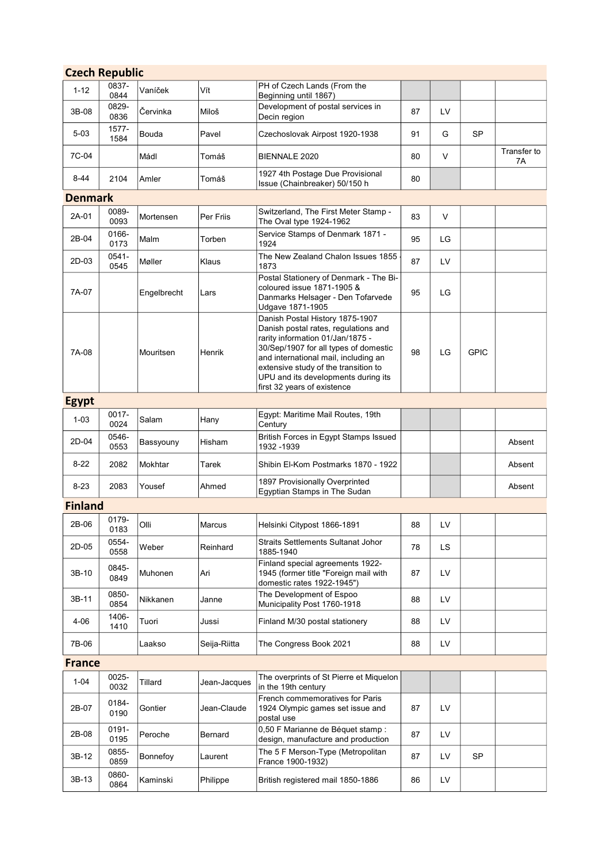| <b>Czech Republic</b> |               |             |              |                                                                                                                                                                                                                                                                                                            |    |     |             |                   |  |
|-----------------------|---------------|-------------|--------------|------------------------------------------------------------------------------------------------------------------------------------------------------------------------------------------------------------------------------------------------------------------------------------------------------------|----|-----|-------------|-------------------|--|
| $1 - 12$              | 0837-<br>0844 | Vaníček     | Vít          | PH of Czech Lands (From the<br>Beginning until 1867)                                                                                                                                                                                                                                                       |    |     |             |                   |  |
| 3B-08                 | 0829-<br>0836 | Červinka    | Miloš        | Development of postal services in<br>Decin region                                                                                                                                                                                                                                                          | 87 | LV  |             |                   |  |
| $5 - 03$              | 1577-<br>1584 | Bouda       | Pavel        | Czechoslovak Airpost 1920-1938                                                                                                                                                                                                                                                                             | 91 | G   | SP          |                   |  |
| 7C-04                 |               | Mádl        | Tomáš        | BIENNALE 2020                                                                                                                                                                                                                                                                                              | 80 | V   |             | Transfer to<br>7A |  |
| $8 - 44$              | 2104          | Amler       | Tomáš        | 1927 4th Postage Due Provisional<br>Issue (Chainbreaker) 50/150 h                                                                                                                                                                                                                                          | 80 |     |             |                   |  |
| Denmark               |               |             |              |                                                                                                                                                                                                                                                                                                            |    |     |             |                   |  |
| 2A-01                 | 0089-<br>0093 | Mortensen   | Per Friis    | Switzerland, The First Meter Stamp -<br>The Oval type 1924-1962                                                                                                                                                                                                                                            | 83 | V   |             |                   |  |
| 2B-04                 | 0166-<br>0173 | Malm        | Torben       | Service Stamps of Denmark 1871 -<br>1924                                                                                                                                                                                                                                                                   | 95 | LG  |             |                   |  |
| 2D-03                 | 0541-<br>0545 | Møller      | Klaus        | The New Zealand Chalon Issues 1855<br>1873                                                                                                                                                                                                                                                                 | 87 | LV  |             |                   |  |
| 7A-07                 |               | Engelbrecht | Lars         | Postal Stationery of Denmark - The Bi-<br>coloured issue 1871-1905 &<br>Danmarks Helsager - Den Tofarvede<br>Udgave 1871-1905                                                                                                                                                                              | 95 | LG  |             |                   |  |
| 7A-08                 |               | Mouritsen   | Henrik       | Danish Postal History 1875-1907<br>Danish postal rates, regulations and<br>rarity information 01/Jan/1875 -<br>30/Sep/1907 for all types of domestic<br>and international mail, including an<br>extensive study of the transition to<br>UPU and its developments during its<br>first 32 years of existence | 98 | LG  | <b>GPIC</b> |                   |  |
| <b>Egypt</b>          |               |             |              |                                                                                                                                                                                                                                                                                                            |    |     |             |                   |  |
| $1 - 03$              | 0017-<br>0024 | Salam       | Hany         | Egypt: Maritime Mail Routes, 19th<br>Century                                                                                                                                                                                                                                                               |    |     |             |                   |  |
| 2D-04                 | 0546-<br>0553 | Bassyouny   | Hisham       | British Forces in Egypt Stamps Issued<br>1932 - 1939                                                                                                                                                                                                                                                       |    |     |             | Absent            |  |
| $8 - 22$              | 2082          | Mokhtar     | Tarek        | Shibin El-Kom Postmarks 1870 - 1922                                                                                                                                                                                                                                                                        |    |     |             | Absent            |  |
| $8 - 23$              | 2083          | Yousef      | Ahmed        | 1897 Provisionally Overprinted<br>Egyptian Stamps in The Sudan                                                                                                                                                                                                                                             |    |     |             | Absent            |  |
| <b>Finland</b>        |               |             |              |                                                                                                                                                                                                                                                                                                            |    |     |             |                   |  |
| 2B-06                 | 0179-<br>0183 | Olli        | Marcus       | Helsinki Citypost 1866-1891                                                                                                                                                                                                                                                                                | 88 | LV  |             |                   |  |
| 2D-05                 | 0554-<br>0558 | Weber       | Reinhard     | Straits Settlements Sultanat Johor<br>1885-1940                                                                                                                                                                                                                                                            | 78 | LS  |             |                   |  |
| 3B-10                 | 0845-<br>0849 | Muhonen     | Ari          | Finland special agreements 1922-<br>1945 (former title "Foreign mail with<br>domestic rates 1922-1945")                                                                                                                                                                                                    | 87 | LV  |             |                   |  |
| 3B-11                 | 0850-<br>0854 | Nikkanen    | Janne        | The Development of Espoo<br>Municipality Post 1760-1918                                                                                                                                                                                                                                                    | 88 | LV  |             |                   |  |
| 4-06                  | 1406-<br>1410 | Tuori       | Jussi        | Finland M/30 postal stationery                                                                                                                                                                                                                                                                             | 88 | LV  |             |                   |  |
| 7B-06                 |               | Laakso      | Seija-Riitta | The Congress Book 2021                                                                                                                                                                                                                                                                                     | 88 | LV. |             |                   |  |
| <b>France</b>         |               |             |              |                                                                                                                                                                                                                                                                                                            |    |     |             |                   |  |
| $1 - 04$              | 0025-<br>0032 | Tillard     | Jean-Jacques | The overprints of St Pierre et Miquelon<br>in the 19th century                                                                                                                                                                                                                                             |    |     |             |                   |  |
| 2B-07                 | 0184-<br>0190 | Gontier     | Jean-Claude  | French commemoratives for Paris<br>1924 Olympic games set issue and<br>postal use                                                                                                                                                                                                                          | 87 | LV  |             |                   |  |
| 2B-08                 | 0191-<br>0195 | Peroche     | Bernard      | 0,50 F Marianne de Béquet stamp :<br>design, manufacture and production                                                                                                                                                                                                                                    | 87 | LV  |             |                   |  |
| 3B-12                 | 0855-<br>0859 | Bonnefoy    | Laurent      | The 5 F Merson-Type (Metropolitan<br>France 1900-1932)                                                                                                                                                                                                                                                     | 87 | LV  | <b>SP</b>   |                   |  |
| 3B-13                 | 0860-<br>0864 | Kaminski    | Philippe     | British registered mail 1850-1886                                                                                                                                                                                                                                                                          | 86 | LV  |             |                   |  |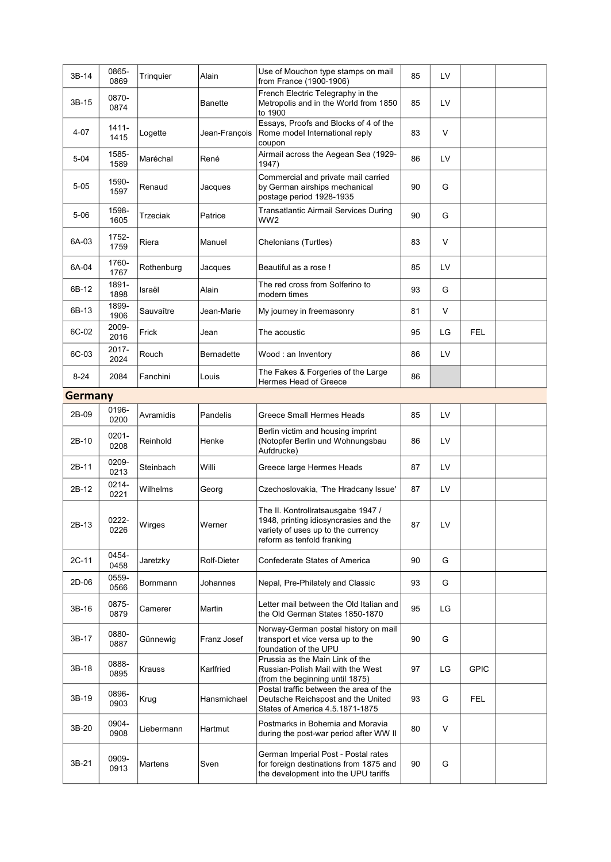| 3B-14    | 0865-<br>0869    | Tringuier  | Alain         | Use of Mouchon type stamps on mail<br>from France (1900-1906)                                                                                   | 85 | LV |             |  |
|----------|------------------|------------|---------------|-------------------------------------------------------------------------------------------------------------------------------------------------|----|----|-------------|--|
| 3B-15    | 0870-<br>0874    |            | Banette       | French Electric Telegraphy in the<br>Metropolis and in the World from 1850<br>to 1900                                                           | 85 | LV |             |  |
| 4-07     | 1411-<br>1415    | Logette    | Jean-François | Essays, Proofs and Blocks of 4 of the<br>Rome model International reply<br>coupon                                                               | 83 | V  |             |  |
| $5 - 04$ | 1585-<br>1589    | Maréchal   | René          | Airmail across the Aegean Sea (1929-<br>1947)                                                                                                   | 86 | LV |             |  |
| $5 - 05$ | 1590-<br>1597    | Renaud     | Jacques       | Commercial and private mail carried<br>by German airships mechanical<br>postage period 1928-1935                                                | 90 | G  |             |  |
| 5-06     | 1598-<br>1605    | Trzeciak   | Patrice       | <b>Transatlantic Airmail Services During</b><br>WW2                                                                                             | 90 | G  |             |  |
| 6A-03    | 1752-<br>1759    | Riera      | Manuel        | Chelonians (Turtles)                                                                                                                            | 83 | V  |             |  |
| 6A-04    | 1760-<br>1767    | Rothenburg | Jacques       | Beautiful as a rose !                                                                                                                           | 85 | LV |             |  |
| 6B-12    | 1891-<br>1898    | Israël     | Alain         | The red cross from Solferino to<br>modern times                                                                                                 | 93 | G  |             |  |
| 6B-13    | 1899-<br>1906    | Sauvaître  | Jean-Marie    | My journey in freemasonry                                                                                                                       | 81 | V  |             |  |
| 6C-02    | 2009-<br>2016    | Frick      | Jean          | The acoustic                                                                                                                                    | 95 | LG | <b>FEL</b>  |  |
| 6C-03    | 2017-<br>2024    | Rouch      | Bernadette    | Wood: an Inventory                                                                                                                              | 86 | LV |             |  |
| $8 - 24$ | 2084             | Fanchini   | Louis         | The Fakes & Forgeries of the Large<br>Hermes Head of Greece                                                                                     | 86 |    |             |  |
| Germany  |                  |            |               |                                                                                                                                                 |    |    |             |  |
| 2B-09    | 0196-<br>0200    | Avramidis  | Pandelis      | Greece Small Hermes Heads                                                                                                                       | 85 | LV |             |  |
| 2B-10    | $0201 -$<br>0208 | Reinhold   | Henke         | Berlin victim and housing imprint<br>(Notopfer Berlin und Wohnungsbau<br>Aufdrucke)                                                             | 86 | LV |             |  |
| 2B-11    | 0209-<br>0213    | Steinbach  | Willi         | Greece large Hermes Heads                                                                                                                       | 87 | LV |             |  |
| 2B-12    | 0214-<br>0221    | Wilhelms   | Georg         | Czechoslovakia, 'The Hradcany Issue'                                                                                                            | 87 | LV |             |  |
| 2B-13    | 0222-<br>0226    | Wirges     | Werner        | The II. Kontrollratsausgabe 1947 /<br>1948, printing idiosyncrasies and the<br>variety of uses up to the currency<br>reform as tenfold franking | 87 | LV |             |  |
| 2C-11    | 0454-<br>0458    | Jaretzky   | Rolf-Dieter   | Confederate States of America                                                                                                                   | 90 | G  |             |  |
| 2D-06    | 0559-<br>0566    | Bornmann   | Johannes      | Nepal, Pre-Philately and Classic                                                                                                                | 93 | G  |             |  |
| 3B-16    | 0875-<br>0879    | Camerer    | Martin        | Letter mail between the Old Italian and<br>the Old German States 1850-1870                                                                      | 95 | LG |             |  |
| 3B-17    | 0880-<br>0887    | Günnewig   | Franz Josef   | Norway-German postal history on mail<br>transport et vice versa up to the<br>foundation of the UPU                                              | 90 | G  |             |  |
| 3B-18    | 0888-<br>0895    | Krauss     | Karlfried     | Prussia as the Main Link of the<br>Russian-Polish Mail with the West<br>(from the beginning until 1875)                                         | 97 | LG | <b>GPIC</b> |  |
| 3B-19    | 0896-<br>0903    | Krug       | Hansmichael   | Postal traffic between the area of the<br>Deutsche Reichspost and the United<br>States of America 4.5.1871-1875                                 | 93 | G  | <b>FEL</b>  |  |
| 3B-20    | 0904-<br>0908    | Liebermann | Hartmut       | Postmarks in Bohemia and Moravia<br>during the post-war period after WW II                                                                      | 80 | V  |             |  |
| 3B-21    | 0909-<br>0913    | Martens    | Sven          | German Imperial Post - Postal rates<br>for foreign destinations from 1875 and<br>the development into the UPU tariffs                           | 90 | G  |             |  |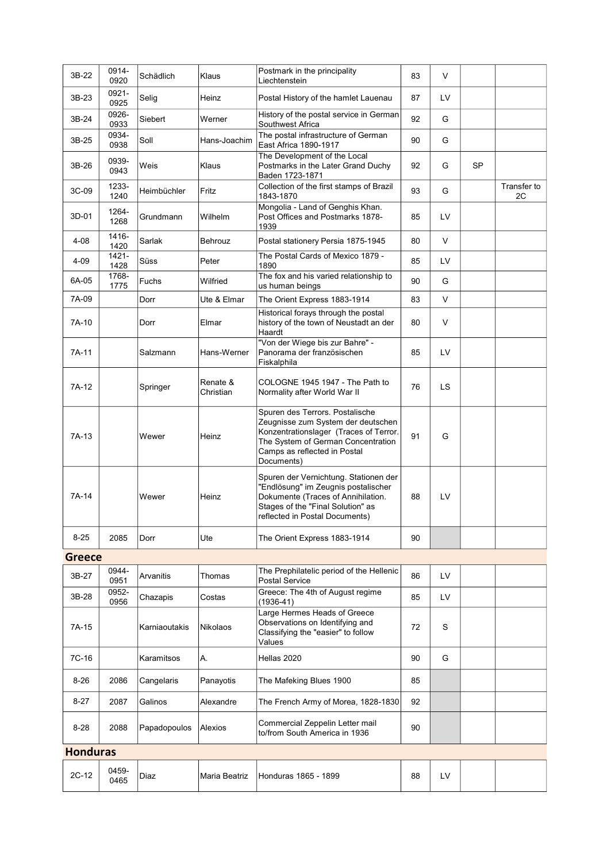| 3B-22           | 0914-<br>0920 | Schädlich     | Klaus                 | Postmark in the principality<br>Liechtenstein                                                                                                                                                       | 83 | V   |    |                   |
|-----------------|---------------|---------------|-----------------------|-----------------------------------------------------------------------------------------------------------------------------------------------------------------------------------------------------|----|-----|----|-------------------|
| 3B-23           | 0921-<br>0925 | Selig         | Heinz                 | Postal History of the hamlet Lauenau                                                                                                                                                                | 87 | LV  |    |                   |
| 3B-24           | 0926-<br>0933 | Siebert       | Werner                | History of the postal service in German<br>Southwest Africa                                                                                                                                         | 92 | G   |    |                   |
| 3B-25           | 0934-<br>0938 | Soll          | Hans-Joachim          | The postal infrastructure of German<br>East Africa 1890-1917                                                                                                                                        | 90 | G   |    |                   |
| 3B-26           | 0939-<br>0943 | Weis          | Klaus                 | The Development of the Local<br>Postmarks in the Later Grand Duchy<br>Baden 1723-1871                                                                                                               | 92 | G   | SP |                   |
| 3C-09           | 1233-<br>1240 | Heimbüchler   | Fritz                 | Collection of the first stamps of Brazil<br>1843-1870                                                                                                                                               | 93 | G   |    | Transfer to<br>2C |
| 3D-01           | 1264-<br>1268 | Grundmann     | Wilhelm               | Mongolia - Land of Genghis Khan.<br>Post Offices and Postmarks 1878-<br>1939                                                                                                                        | 85 | LV  |    |                   |
| $4 - 08$        | 1416-<br>1420 | Sarlak        | Behrouz               | Postal stationery Persia 1875-1945                                                                                                                                                                  | 80 | V   |    |                   |
| 4-09            | 1421-<br>1428 | Süss          | Peter                 | The Postal Cards of Mexico 1879 -<br>1890                                                                                                                                                           | 85 | LV  |    |                   |
| 6A-05           | 1768-<br>1775 | Fuchs         | Wilfried              | The fox and his varied relationship to<br>us human beings                                                                                                                                           | 90 | G   |    |                   |
| 7A-09           |               | Dorr          | Ute & Elmar           | The Orient Express 1883-1914                                                                                                                                                                        | 83 | V   |    |                   |
| 7A-10           |               | Dorr          | Elmar                 | Historical forays through the postal<br>history of the town of Neustadt an der<br>Haardt                                                                                                            | 80 | V   |    |                   |
| 7A-11           |               | Salzmann      | Hans-Werner           | "Von der Wiege bis zur Bahre" -<br>Panorama der französischen<br>Fiskalphila                                                                                                                        | 85 | LV  |    |                   |
| 7A-12           |               | Springer      | Renate &<br>Christian | COLOGNE 1945 1947 - The Path to<br>Normality after World War II                                                                                                                                     | 76 | LS. |    |                   |
| 7A-13           |               | Wewer         | Heinz                 | Spuren des Terrors. Postalische<br>Zeugnisse zum System der deutschen<br>Konzentrationslager (Traces of Terror.<br>The System of German Concentration<br>Camps as reflected in Postal<br>Documents) | 91 | G   |    |                   |
| 7A-14           |               | Wewer         | Heinz                 | Spuren der Vernichtung. Stationen der<br>"Endlösung" im Zeugnis postalischer<br>Dokumente (Traces of Annihilation.<br>Stages of the "Final Solution" as<br>reflected in Postal Documents)           | 88 | LV  |    |                   |
| $8 - 25$        | 2085          | Dorr          | Ute                   | The Orient Express 1883-1914                                                                                                                                                                        | 90 |     |    |                   |
| Greece          |               |               |                       |                                                                                                                                                                                                     |    |     |    |                   |
| 3B-27           | 0944-<br>0951 | Arvanitis     | Thomas                | The Prephilatelic period of the Hellenic<br>Postal Service                                                                                                                                          | 86 | LV  |    |                   |
| 3B-28           | 0952-<br>0956 | Chazapis      | Costas                | Greece: The 4th of August regime<br>$(1936 - 41)$                                                                                                                                                   | 85 | LV  |    |                   |
| 7A-15           |               | Karniaoutakis | <b>Nikolaos</b>       | Large Hermes Heads of Greece<br>Observations on Identifying and<br>Classifying the "easier" to follow<br>Values                                                                                     | 72 | S   |    |                   |
| 7C-16           |               | Karamitsos    | А.                    | Hellas 2020                                                                                                                                                                                         | 90 | G   |    |                   |
| 8-26            | 2086          | Cangelaris    | Panayotis             | The Mafeking Blues 1900                                                                                                                                                                             | 85 |     |    |                   |
| 8-27            | 2087          | Galinos       | Alexandre             | The French Army of Morea, 1828-1830                                                                                                                                                                 | 92 |     |    |                   |
| $8 - 28$        | 2088          | Papadopoulos  | Alexios               | Commercial Zeppelin Letter mail<br>to/from South America in 1936                                                                                                                                    | 90 |     |    |                   |
| <b>Honduras</b> |               |               |                       |                                                                                                                                                                                                     |    |     |    |                   |
| 2C-12           | 0459-<br>0465 | Diaz          | Maria Beatriz         | Honduras 1865 - 1899                                                                                                                                                                                | 88 | LV  |    |                   |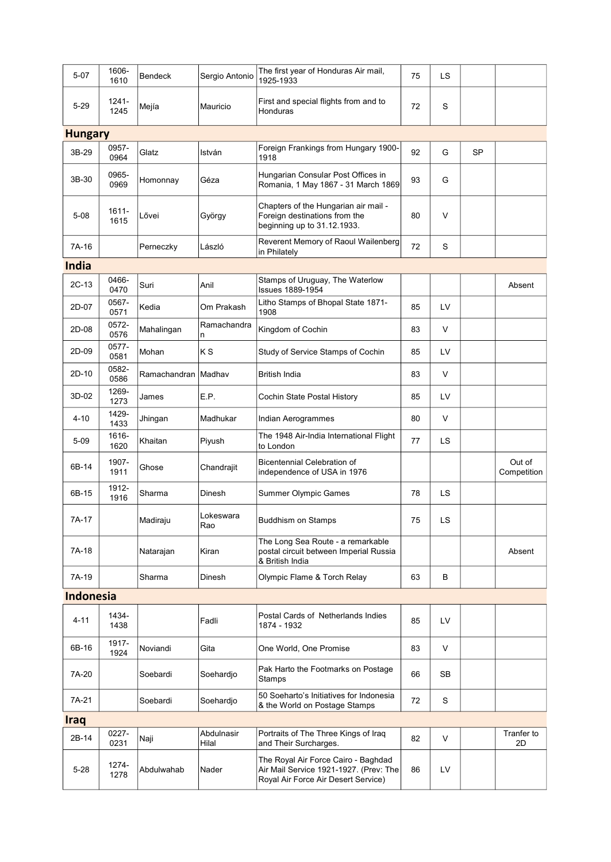| $5 - 07$         | 1606-<br>1610 | <b>Bendeck</b> | Sergio Antonio      | The first year of Honduras Air mail,<br>1925-1933                                                                    | 75 | LS |    |                       |
|------------------|---------------|----------------|---------------------|----------------------------------------------------------------------------------------------------------------------|----|----|----|-----------------------|
| $5 - 29$         | 1241-<br>1245 | Mejía          | Mauricio            | First and special flights from and to<br>Honduras                                                                    | 72 | S  |    |                       |
| <b>Hungary</b>   |               |                |                     |                                                                                                                      |    |    |    |                       |
| 3B-29            | 0957-<br>0964 | Glatz          | István              | Foreign Frankings from Hungary 1900-<br>1918                                                                         | 92 | G  | SP |                       |
| 3B-30            | 0965-<br>0969 | Homonnay       | Géza                | Hungarian Consular Post Offices in<br>Romania, 1 May 1867 - 31 March 1869                                            | 93 | G  |    |                       |
| $5 - 08$         | 1611-<br>1615 | Lővei          | György              | Chapters of the Hungarian air mail -<br>Foreign destinations from the<br>beginning up to 31.12.1933.                 | 80 | V  |    |                       |
| 7A-16            |               | Perneczky      | László              | Reverent Memory of Raoul Wailenberg<br>in Philately                                                                  | 72 | S  |    |                       |
| India            |               |                |                     |                                                                                                                      |    |    |    |                       |
| 2C-13            | 0466-<br>0470 | Suri           | Anil                | Stamps of Uruguay, The Waterlow<br><b>Issues 1889-1954</b>                                                           |    |    |    | Absent                |
| 2D-07            | 0567-<br>0571 | Kedia          | Om Prakash          | Litho Stamps of Bhopal State 1871-<br>1908                                                                           | 85 | LV |    |                       |
| 2D-08            | 0572-<br>0576 | Mahalingan     | Ramachandra<br>n    | Kingdom of Cochin                                                                                                    | 83 | V  |    |                       |
| 2D-09            | 0577-<br>0581 | Mohan          | ΚS                  | Study of Service Stamps of Cochin                                                                                    | 85 | LV |    |                       |
| $2D-10$          | 0582-<br>0586 | Ramachandran   | Madhav              | <b>British India</b>                                                                                                 | 83 | V  |    |                       |
| 3D-02            | 1269-<br>1273 | James          | E.P.                | Cochin State Postal History                                                                                          | 85 | LV |    |                       |
| 4-10             | 1429-<br>1433 | Jhingan        | Madhukar            | Indian Aerogrammes                                                                                                   | 80 | V  |    |                       |
| $5 - 09$         | 1616-<br>1620 | Khaitan        | Piyush              | The 1948 Air-India International Flight<br>to London                                                                 | 77 | LS |    |                       |
| 6B-14            | 1907-<br>1911 | Ghose          | Chandrajit          | <b>Bicentennial Celebration of</b><br>independence of USA in 1976                                                    |    |    |    | Out of<br>Competition |
| 6B-15            | 1912-<br>1916 | Sharma         | Dinesh              | <b>Summer Olympic Games</b>                                                                                          | 78 | LS |    |                       |
| 7A-17            |               | Madiraju       | Lokeswara<br>Rao    | <b>Buddhism on Stamps</b>                                                                                            | 75 | LS |    |                       |
| 7A-18            |               | Natarajan      | Kiran               | The Long Sea Route - a remarkable<br>postal circuit between Imperial Russia<br>& British India                       |    |    |    | Absent                |
| 7A-19            |               | Sharma         | Dinesh              | Olympic Flame & Torch Relay                                                                                          | 63 | В  |    |                       |
| <b>Indonesia</b> |               |                |                     |                                                                                                                      |    |    |    |                       |
| $4 - 11$         | 1434-<br>1438 |                | Fadli               | Postal Cards of Netherlands Indies<br>1874 - 1932                                                                    | 85 | LV |    |                       |
| 6B-16            | 1917-<br>1924 | Noviandi       | Gita                | One World, One Promise                                                                                               | 83 | V  |    |                       |
| 7A-20            |               | Soebardi       | Soehardjo           | Pak Harto the Footmarks on Postage<br>Stamps                                                                         | 66 | SB |    |                       |
| 7A-21            |               | Soebardi       | Soehardjo           | 50 Soeharto's Initiatives for Indonesia<br>& the World on Postage Stamps                                             | 72 | S  |    |                       |
| <b>Iraq</b>      |               |                |                     |                                                                                                                      |    |    |    |                       |
| 2B-14            | 0227-<br>0231 | Naji           | Abdulnasir<br>Hilal | Portraits of The Three Kings of Iraq<br>and Their Surcharges.                                                        | 82 | V  |    | Tranfer to<br>2D      |
| $5 - 28$         | 1274-<br>1278 | Abdulwahab     | Nader               | The Royal Air Force Cairo - Baghdad<br>Air Mail Service 1921-1927. (Prev: The<br>Royal Air Force Air Desert Service) | 86 | LV |    |                       |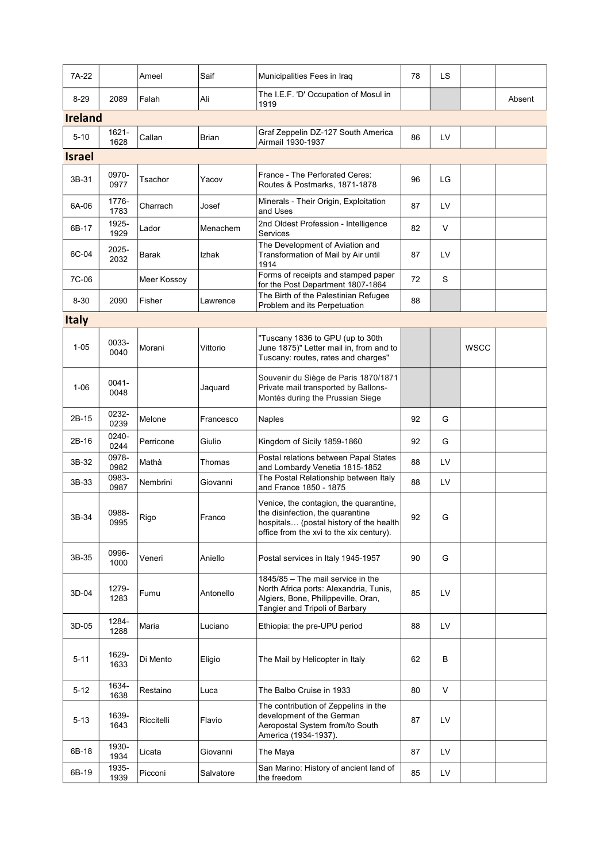| 7A-22          |                  | Ameel       | Saif      | Municipalities Fees in Iraq                                                                                                                                       | 78 | LS |             |        |
|----------------|------------------|-------------|-----------|-------------------------------------------------------------------------------------------------------------------------------------------------------------------|----|----|-------------|--------|
| $8 - 29$       | 2089             | Falah       | Ali       | The I.E.F. 'D' Occupation of Mosul in<br>1919                                                                                                                     |    |    |             | Absent |
| <b>Ireland</b> |                  |             |           |                                                                                                                                                                   |    |    |             |        |
| $5 - 10$       | 1621-<br>1628    | Callan      | Brian     | Graf Zeppelin DZ-127 South America<br>Airmail 1930-1937                                                                                                           | 86 | LV |             |        |
| <b>Israel</b>  |                  |             |           |                                                                                                                                                                   |    |    |             |        |
| 3B-31          | 0970-<br>0977    | Tsachor     | Yacov     | France - The Perforated Ceres:<br>Routes & Postmarks, 1871-1878                                                                                                   | 96 | LG |             |        |
| 6A-06          | 1776-<br>1783    | Charrach    | Josef     | Minerals - Their Origin, Exploitation<br>and Uses                                                                                                                 | 87 | LV |             |        |
| 6B-17          | 1925-<br>1929    | Lador       | Menachem  | 2nd Oldest Profession - Intelligence<br>Services                                                                                                                  | 82 | V  |             |        |
| 6C-04          | 2025-<br>2032    | Barak       | Izhak     | The Development of Aviation and<br>Transformation of Mail by Air until<br>1914                                                                                    | 87 | LV |             |        |
| 7C-06          |                  | Meer Kossoy |           | Forms of receipts and stamped paper<br>for the Post Department 1807-1864                                                                                          | 72 | S  |             |        |
| $8 - 30$       | 2090             | Fisher      | Lawrence  | The Birth of the Palestinian Refugee<br>Problem and its Perpetuation                                                                                              | 88 |    |             |        |
| <b>Italy</b>   |                  |             |           |                                                                                                                                                                   |    |    |             |        |
| $1 - 05$       | 0033-<br>0040    | Morani      | Vittorio  | "Tuscany 1836 to GPU (up to 30th<br>June 1875)" Letter mail in, from and to<br>Tuscany: routes, rates and charges"                                                |    |    | <b>WSCC</b> |        |
| $1 - 06$       | $0041 -$<br>0048 |             | Jaquard   | Souvenir du Siège de Paris 1870/1871<br>Private mail transported by Ballons-<br>Montés during the Prussian Siege                                                  |    |    |             |        |
| 2B-15          | 0232-<br>0239    | Melone      | Francesco | <b>Naples</b>                                                                                                                                                     | 92 | G  |             |        |
| 2B-16          | 0240-<br>0244    | Perricone   | Giulio    | Kingdom of Sicily 1859-1860                                                                                                                                       | 92 | G  |             |        |
| 3B-32          | 0978-<br>0982    | Mathà       | Thomas    | Postal relations between Papal States<br>and Lombardy Venetia 1815-1852                                                                                           | 88 | LV |             |        |
| 3B-33          | 0983-<br>0987    | Nembrini    | Giovanni  | The Postal Relationship between Italy<br>and France 1850 - 1875                                                                                                   | 88 | LV |             |        |
| 3B-34          | 0988-<br>0995    | Rigo        | Franco    | Venice, the contagion, the quarantine,<br>the disinfection, the quarantine<br>hospitals (postal history of the health<br>office from the xvi to the xix century). | 92 | G  |             |        |
| 3B-35          | 0996-<br>1000    | Veneri      | Aniello   | Postal services in Italy 1945-1957                                                                                                                                | 90 | G  |             |        |
| 3D-04          | 1279-<br>1283    | Fumu        | Antonello | 1845/85 - The mail service in the<br>North Africa ports: Alexandria, Tunis,<br>Algiers, Bone, Philippeville, Oran,<br>Tangier and Tripoli of Barbary              | 85 | LV |             |        |
| 3D-05          | 1284-<br>1288    | Maria       | Luciano   | Ethiopia: the pre-UPU period                                                                                                                                      | 88 | LV |             |        |
| $5 - 11$       | 1629-<br>1633    | Di Mento    | Eligio    | The Mail by Helicopter in Italy                                                                                                                                   | 62 | В  |             |        |
| $5 - 12$       | 1634-<br>1638    | Restaino    | Luca      | The Balbo Cruise in 1933                                                                                                                                          | 80 | V  |             |        |
| 5-13           | 1639-<br>1643    | Riccitelli  | Flavio    | The contribution of Zeppelins in the<br>development of the German<br>Aeropostal System from/to South<br>America (1934-1937).                                      | 87 | LV |             |        |
| 6B-18          | 1930-<br>1934    | Licata      | Giovanni  | The Maya                                                                                                                                                          | 87 | LV |             |        |
| 6B-19          | 1935-<br>1939    | Picconi     | Salvatore | San Marino: History of ancient land of<br>the freedom                                                                                                             | 85 | LV |             |        |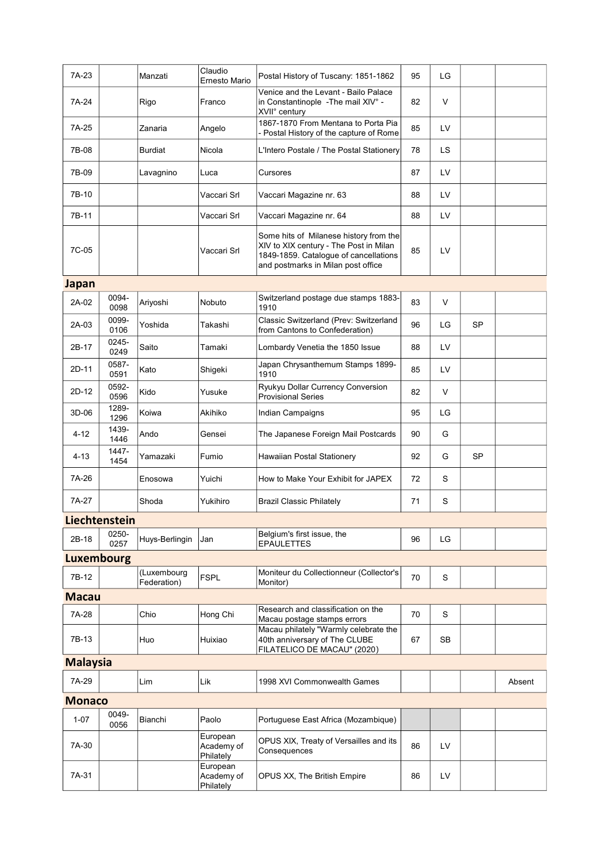| 7A-23           |                   | Manzati                    | Claudio<br>Ernesto Mario            | Postal History of Tuscany: 1851-1862                                                                                                                            | 95 | LG     |           |        |
|-----------------|-------------------|----------------------------|-------------------------------------|-----------------------------------------------------------------------------------------------------------------------------------------------------------------|----|--------|-----------|--------|
| 7A-24           |                   | Rigo                       | Franco                              | Venice and the Levant - Bailo Palace<br>in Constantinople - The mail XIV° -<br>XVII° century                                                                    | 82 | $\vee$ |           |        |
| 7A-25           |                   | Zanaria                    | Angelo                              | 1867-1870 From Mentana to Porta Pia<br>- Postal History of the capture of Rome                                                                                  | 85 | LV     |           |        |
| 7B-08           |                   | Burdiat                    | Nicola                              | L'Intero Postale / The Postal Stationery                                                                                                                        | 78 | LS.    |           |        |
| 7B-09           |                   | Lavagnino                  | Luca                                | Cursores                                                                                                                                                        | 87 | LV     |           |        |
| 7B-10           |                   |                            | Vaccari Srl                         | Vaccari Magazine nr. 63                                                                                                                                         | 88 | LV     |           |        |
| 7B-11           |                   |                            | Vaccari Srl                         | Vaccari Magazine nr. 64                                                                                                                                         | 88 | LV     |           |        |
| 7C-05           |                   |                            | Vaccari Srl                         | Some hits of Milanese history from the<br>XIV to XIX century - The Post in Milan<br>1849-1859. Catalogue of cancellations<br>and postmarks in Milan post office | 85 | LV     |           |        |
| Japan           |                   |                            |                                     |                                                                                                                                                                 |    |        |           |        |
| 2A-02           | 0094-<br>0098     | Ariyoshi                   | Nobuto                              | Switzerland postage due stamps 1883-<br>1910                                                                                                                    | 83 | $\vee$ |           |        |
| 2A-03           | 0099-<br>0106     | Yoshida                    | Takashi                             | Classic Switzerland (Prev: Switzerland<br>from Cantons to Confederation)                                                                                        | 96 | LG     | <b>SP</b> |        |
| 2B-17           | 0245-<br>0249     | Saito                      | Tamaki                              | Lombardy Venetia the 1850 Issue                                                                                                                                 | 88 | LV     |           |        |
| 2D-11           | 0587-<br>0591     | Kato                       | Shigeki                             | Japan Chrysanthemum Stamps 1899-<br>1910                                                                                                                        | 85 | LV     |           |        |
| 2D-12           | 0592-<br>0596     | Kido                       | Yusuke                              | Ryukyu Dollar Currency Conversion<br><b>Provisional Series</b>                                                                                                  | 82 | V      |           |        |
| 3D-06           | 1289-<br>1296     | Koiwa                      | Akihiko                             | Indian Campaigns                                                                                                                                                | 95 | LG     |           |        |
| 4-12            | 1439-<br>1446     | Ando                       | Gensei                              | The Japanese Foreign Mail Postcards                                                                                                                             | 90 | G      |           |        |
| 4-13            | 1447-<br>1454     | Yamazaki                   | Fumio                               | Hawaiian Postal Stationery                                                                                                                                      | 92 | G      | SP        |        |
| 7A-26           |                   | Enosowa                    | Yuichi                              | How to Make Your Exhibit for JAPEX                                                                                                                              | 72 | S      |           |        |
| 7A-27           |                   | Shoda                      | Yukihiro                            | <b>Brazil Classic Philately</b>                                                                                                                                 | 71 | S      |           |        |
|                 | Liechtenstein     |                            |                                     |                                                                                                                                                                 |    |        |           |        |
| 2B-18           | 0250-<br>0257     | Huys-Berlingin             | Jan                                 | Belgium's first issue, the<br><b>EPAULETTES</b>                                                                                                                 | 96 | LG     |           |        |
|                 | <b>Luxembourg</b> |                            |                                     |                                                                                                                                                                 |    |        |           |        |
| 7B-12           |                   | (Luxembourg<br>Federation) | <b>FSPL</b>                         | Moniteur du Collectionneur (Collector's<br>Monitor)                                                                                                             | 70 | S      |           |        |
| <u>Macau</u>    |                   |                            |                                     |                                                                                                                                                                 |    |        |           |        |
| 7A-28           |                   | Chio                       | Hong Chi                            | Research and classification on the<br>Macau postage stamps errors                                                                                               | 70 | S      |           |        |
| 7B-13           |                   | Huo                        | Huixiao                             | Macau philately "Warmly celebrate the<br>40th anniversary of The CLUBE<br>FILATELICO DE MACAU" (2020)                                                           | 67 | SB     |           |        |
| <b>Malaysia</b> |                   |                            |                                     |                                                                                                                                                                 |    |        |           |        |
| 7A-29           |                   | Lim                        | Lik                                 | 1998 XVI Commonwealth Games                                                                                                                                     |    |        |           | Absent |
| <b>Monaco</b>   |                   |                            |                                     |                                                                                                                                                                 |    |        |           |        |
| $1 - 07$        | 0049-<br>0056     | Bianchi                    | Paolo                               | Portuguese East Africa (Mozambique)                                                                                                                             |    |        |           |        |
| 7A-30           |                   |                            | European<br>Academy of<br>Philately | OPUS XIX, Treaty of Versailles and its<br>Consequences                                                                                                          | 86 | LV     |           |        |
| 7A-31           |                   |                            | European<br>Academy of<br>Philately | OPUS XX, The British Empire                                                                                                                                     | 86 | LV     |           |        |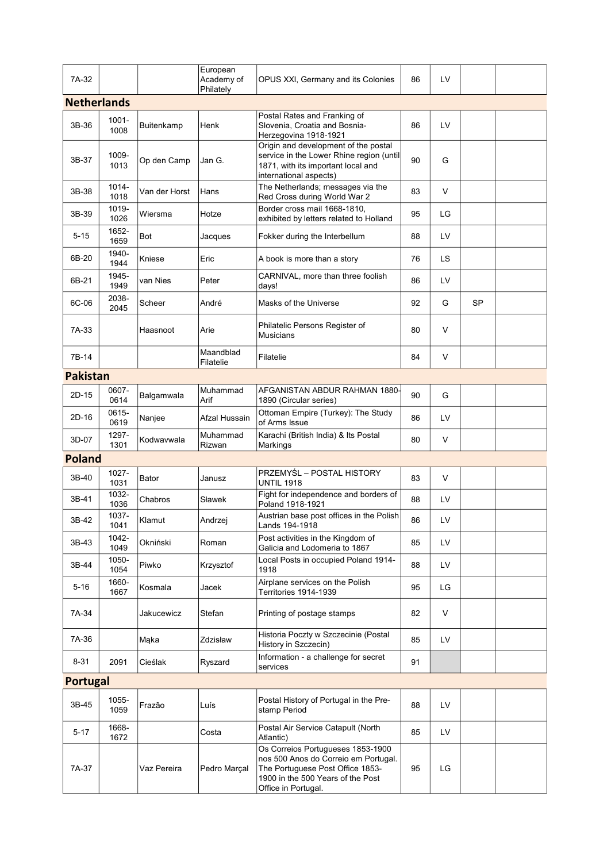|                    |                  |               | European                |                                                                                                                                                                           |    |     |           |  |
|--------------------|------------------|---------------|-------------------------|---------------------------------------------------------------------------------------------------------------------------------------------------------------------------|----|-----|-----------|--|
| 7A-32              |                  |               | Academy of<br>Philately | OPUS XXI, Germany and its Colonies                                                                                                                                        | 86 | LV  |           |  |
| <b>Netherlands</b> |                  |               |                         |                                                                                                                                                                           |    |     |           |  |
| 3B-36              | $1001 -$<br>1008 | Buitenkamp    | Henk                    | Postal Rates and Franking of<br>Slovenia, Croatia and Bosnia-<br>Herzegovina 1918-1921                                                                                    | 86 | LV  |           |  |
| 3B-37              | 1009-<br>1013    | Op den Camp   | Jan G.                  | Origin and development of the postal<br>service in the Lower Rhine region (until<br>1871, with its important local and<br>international aspects)                          | 90 | G   |           |  |
| 3B-38              | 1014-<br>1018    | Van der Horst | Hans                    | The Netherlands; messages via the<br>Red Cross during World War 2                                                                                                         | 83 | V   |           |  |
| 3B-39              | 1019-<br>1026    | Wiersma       | Hotze                   | Border cross mail 1668-1810.<br>exhibited by letters related to Holland                                                                                                   | 95 | LG  |           |  |
| $5 - 15$           | 1652-<br>1659    | Bot           | Jacques                 | Fokker during the Interbellum                                                                                                                                             | 88 | LV  |           |  |
| 6B-20              | 1940-<br>1944    | Kniese        | Eric                    | A book is more than a story                                                                                                                                               | 76 | LS. |           |  |
| 6B-21              | 1945-<br>1949    | van Nies      | Peter                   | CARNIVAL, more than three foolish<br>days!                                                                                                                                | 86 | LV  |           |  |
| 6C-06              | 2038-<br>2045    | Scheer        | André                   | Masks of the Universe                                                                                                                                                     | 92 | G   | <b>SP</b> |  |
| 7A-33              |                  | Haasnoot      | Arie                    | Philatelic Persons Register of<br><b>Musicians</b>                                                                                                                        | 80 | V   |           |  |
| 7B-14              |                  |               | Maandblad<br>Filatelie  | Filatelie                                                                                                                                                                 | 84 | V   |           |  |
| <b>Pakistan</b>    |                  |               |                         |                                                                                                                                                                           |    |     |           |  |
| 2D-15              | 0607-<br>0614    | Balgamwala    | Muhammad<br>Arif        | AFGANISTAN ABDUR RAHMAN 1880-<br>1890 (Circular series)                                                                                                                   | 90 | G   |           |  |
| 2D-16              | 0615-<br>0619    | Nanjee        | Afzal Hussain           | Ottoman Empire (Turkey): The Study<br>of Arms Issue                                                                                                                       | 86 | LV  |           |  |
| 3D-07              | 1297-<br>1301    | Kodwavwala    | Muhammad<br>Rizwan      | Karachi (British India) & Its Postal<br>Markings                                                                                                                          | 80 | V   |           |  |
| <b>Poland</b>      |                  |               |                         |                                                                                                                                                                           |    |     |           |  |
| 3B-40              | 1027-<br>1031    | Bator         | Janusz                  | PRZEMYŚL – POSTAL HISTORY<br><b>UNTIL 1918</b>                                                                                                                            | 83 | V   |           |  |
| 3B-41              | 1032-<br>1036    | Chabros       | Sławek                  | Fight for independence and borders of<br>Poland 1918-1921                                                                                                                 | 88 | LV  |           |  |
| 3B-42              | 1037-<br>1041    | Klamut        | Andrzej                 | Austrian base post offices in the Polish<br>Lands 194-1918                                                                                                                | 86 | LV  |           |  |
| 3B-43              | 1042-<br>1049    | Okniński      | Roman                   | Post activities in the Kingdom of<br>Galicia and Lodomeria to 1867                                                                                                        | 85 | LV  |           |  |
| 3B-44              | 1050-<br>1054    | Piwko         | Krzysztof               | Local Posts in occupied Poland 1914-<br>1918                                                                                                                              | 88 | LV  |           |  |
| $5 - 16$           | 1660-<br>1667    | Kosmala       | Jacek                   | Airplane services on the Polish<br>Territories 1914-1939                                                                                                                  | 95 | LG  |           |  |
| 7A-34              |                  | Jakucewicz    | Stefan                  | Printing of postage stamps                                                                                                                                                | 82 | V   |           |  |
| 7A-36              |                  | Maka          | Zdzisław                | Historia Poczty w Szczecinie (Postal<br>History in Szczecin)                                                                                                              | 85 | LV  |           |  |
| 8-31               | 2091             | Cieślak       | Ryszard                 | Information - a challenge for secret<br>services                                                                                                                          | 91 |     |           |  |
| Portugal           |                  |               |                         |                                                                                                                                                                           |    |     |           |  |
| 3B-45              | 1055-<br>1059    | Frazão        | Luís                    | Postal History of Portugal in the Pre-<br>stamp Period                                                                                                                    | 88 | LV  |           |  |
| $5 - 17$           | 1668-<br>1672    |               | Costa                   | Postal Air Service Catapult (North<br>Atlantic)                                                                                                                           | 85 | LV  |           |  |
| 7A-37              |                  | Vaz Pereira   | Pedro Marçal            | Os Correios Portugueses 1853-1900<br>nos 500 Anos do Correio em Portugal.<br>The Portuguese Post Office 1853-<br>1900 in the 500 Years of the Post<br>Office in Portugal. | 95 | LG. |           |  |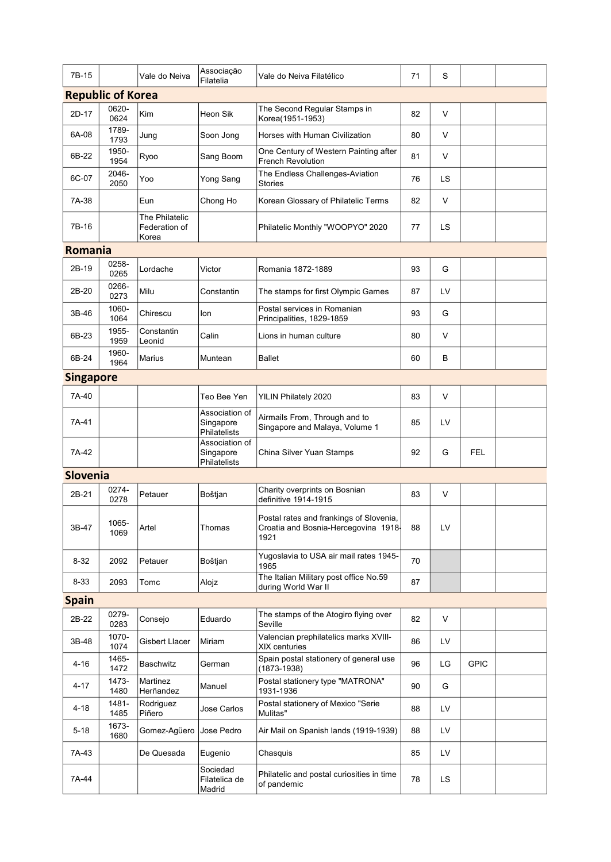| 7B-15            |                          | Vale do Neiva                            | Associação<br>Filatelia                     | Vale do Neiva Filatélico                                                                | 71 | S         |             |  |
|------------------|--------------------------|------------------------------------------|---------------------------------------------|-----------------------------------------------------------------------------------------|----|-----------|-------------|--|
|                  | <b>Republic of Korea</b> |                                          |                                             |                                                                                         |    |           |             |  |
| 2D-17            | 0620-<br>0624            | Kim                                      | Heon Sik                                    | The Second Regular Stamps in<br>Korea(1951-1953)                                        | 82 | V         |             |  |
| 6A-08            | 1789-<br>1793            | Jung                                     | Soon Jong                                   | Horses with Human Civilization                                                          | 80 | V         |             |  |
| 6B-22            | 1950-<br>1954            | Ryoo                                     | Sang Boom                                   | One Century of Western Painting after<br><b>French Revolution</b>                       | 81 | V         |             |  |
| 6C-07            | 2046-<br>2050            | Yoo                                      | Yong Sang                                   | The Endless Challenges-Aviation<br><b>Stories</b>                                       | 76 | <b>LS</b> |             |  |
| 7A-38            |                          | Eun                                      | Chong Ho                                    | Korean Glossary of Philatelic Terms                                                     | 82 | V         |             |  |
| 7B-16            |                          | The Philatelic<br>Federation of<br>Korea |                                             | Philatelic Monthly "WOOPYO" 2020                                                        | 77 | LS.       |             |  |
| <b>Romania</b>   |                          |                                          |                                             |                                                                                         |    |           |             |  |
| 2B-19            | 0258-<br>0265            | Lordache                                 | Victor                                      | Romania 1872-1889                                                                       | 93 | G         |             |  |
| 2B-20            | 0266-<br>0273            | Milu                                     | Constantin                                  | The stamps for first Olympic Games                                                      | 87 | LV        |             |  |
| 3B-46            | 1060-<br>1064            | Chirescu                                 | lon                                         | Postal services in Romanian<br>Principalities, 1829-1859                                | 93 | G         |             |  |
| 6B-23            | 1955-<br>1959            | Constantin<br>Leonid                     | Calin                                       | Lions in human culture                                                                  | 80 | V         |             |  |
| 6B-24            | 1960-<br>1964            | Marius                                   | Muntean                                     | <b>Ballet</b>                                                                           | 60 | В         |             |  |
| <b>Singapore</b> |                          |                                          |                                             |                                                                                         |    |           |             |  |
| 7A-40            |                          |                                          | Teo Bee Yen                                 | YILIN Philately 2020                                                                    | 83 | V         |             |  |
| 7A-41            |                          |                                          | Association of<br>Singapore<br>Philatelists | Airmails From, Through and to<br>Singapore and Malaya, Volume 1                         | 85 | LV        |             |  |
| 7A-42            |                          |                                          | Association of<br>Singapore<br>Philatelists | China Silver Yuan Stamps                                                                | 92 | G         | <b>FEL</b>  |  |
| <b>Slovenia</b>  |                          |                                          |                                             |                                                                                         |    |           |             |  |
| 2B-21            | 0274-<br>0278            | Petauer                                  | Boštjan                                     | Charity overprints on Bosnian<br>definitive 1914-1915                                   | 83 | V         |             |  |
| 3B-47            | 1065-<br>1069            | Artel                                    | Thomas                                      | Postal rates and frankings of Slovenia,<br>Croatia and Bosnia-Hercegovina 1918-<br>1921 | 88 | LV        |             |  |
| $8 - 32$         | 2092                     | Petauer                                  | Boštjan                                     | Yugoslavia to USA air mail rates 1945-<br>1965                                          | 70 |           |             |  |
| $8 - 33$         | 2093                     | Tomc                                     | Alojz                                       | The Italian Military post office No.59<br>during World War II                           | 87 |           |             |  |
| <b>Spain</b>     |                          |                                          |                                             |                                                                                         |    |           |             |  |
| 2B-22            | 0279-<br>0283            | Consejo                                  | Eduardo                                     | The stamps of the Atogiro flying over<br>Seville                                        | 82 | V         |             |  |
| 3B-48            | 1070-<br>1074            | <b>Gisbert Llacer</b>                    | Miriam                                      | Valencian prephilatelics marks XVIII-<br>XIX centuries                                  | 86 | LV        |             |  |
| 4-16             | 1465-<br>1472            | Baschwitz                                | German                                      | Spain postal stationery of general use<br>(1873-1938)                                   | 96 | LG        | <b>GPIC</b> |  |
| 4-17             | 1473-<br>1480            | Martinez<br>Herñandez                    | Manuel                                      | Postal stationery type "MATRONA"<br>1931-1936                                           | 90 | G         |             |  |
| 4-18             | 1481-<br>1485            | Rodriguez<br>Piñero                      | Jose Carlos                                 | Postal stationery of Mexico "Serie<br>Mulitas"                                          | 88 | LV        |             |  |
| $5 - 18$         | 1673-<br>1680            | Gomez-Agüero                             | Jose Pedro                                  | Air Mail on Spanish lands (1919-1939)                                                   | 88 | LV        |             |  |
| 7A-43            |                          | De Quesada                               | Eugenio                                     | Chasquis                                                                                | 85 | LV        |             |  |
| 7A-44            |                          |                                          | Sociedad<br>Filatelica de<br>Madrid         | Philatelic and postal curiosities in time<br>of pandemic                                | 78 | LS        |             |  |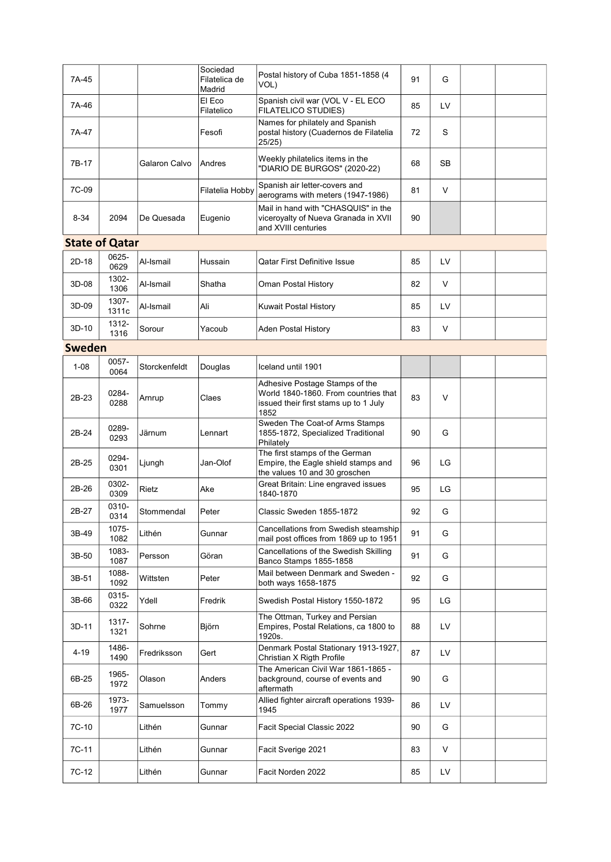| 7A-45    |                       |               | Sociedad<br>Filatelica de<br>Madrid | Postal history of Cuba 1851-1858 (4<br>VOL)                                                                             | 91 | G   |  |
|----------|-----------------------|---------------|-------------------------------------|-------------------------------------------------------------------------------------------------------------------------|----|-----|--|
| 7A-46    |                       |               | El Eco<br>Filatelico                | Spanish civil war (VOL V - EL ECO<br><b>FILATELICO STUDIES)</b>                                                         | 85 | LV  |  |
| 7A-47    |                       |               | Fesofi                              | Names for philately and Spanish<br>postal history (Cuadernos de Filatelia<br>25/25)                                     | 72 | S   |  |
| 7B-17    |                       | Galaron Calvo | Andres                              | Weekly philatelics items in the<br>"DIARIO DE BURGOS" (2020-22)                                                         | 68 | SB. |  |
| 7C-09    |                       |               | Filatelia Hobby                     | Spanish air letter-covers and<br>aerograms with meters (1947-1986)                                                      | 81 | V   |  |
| $8 - 34$ | 2094                  | De Quesada    | Eugenio                             | Mail in hand with "CHASQUIS" in the<br>viceroyalty of Nueva Granada in XVII<br>and XVIII centuries                      | 90 |     |  |
|          | <b>State of Qatar</b> |               |                                     |                                                                                                                         |    |     |  |
| 2D-18    | 0625-<br>0629         | Al-Ismail     | Hussain                             | <b>Qatar First Definitive Issue</b>                                                                                     | 85 | LV  |  |
| 3D-08    | 1302-<br>1306         | Al-Ismail     | Shatha                              | Oman Postal History                                                                                                     | 82 | V   |  |
| 3D-09    | 1307-<br>1311c        | Al-Ismail     | Ali                                 | Kuwait Postal History                                                                                                   | 85 | LV  |  |
| 3D-10    | 1312-<br>1316         | Sorour        | Yacoub                              | <b>Aden Postal History</b>                                                                                              | 83 | V   |  |
| Sweden   |                       |               |                                     |                                                                                                                         |    |     |  |
| $1 - 08$ | 0057-<br>0064         | Storckenfeldt | Douglas                             | Iceland until 1901                                                                                                      |    |     |  |
| 2B-23    | 0284-<br>0288         | Arnrup        | Claes                               | Adhesive Postage Stamps of the<br>World 1840-1860. From countries that<br>issued their first stams up to 1 July<br>1852 | 83 | V   |  |
| 2B-24    | 0289-<br>0293         | Järnum        | Lennart                             | Sweden The Coat-of Arms Stamps<br>1855-1872, Specialized Traditional<br>Philately                                       | 90 | G   |  |
| 2B-25    | 0294-<br>0301         | Ljungh        | Jan-Olof                            | The first stamps of the German<br>Empire, the Eagle shield stamps and<br>the values 10 and 30 groschen                  | 96 | LG  |  |
| 2B-26    | 0302-<br>0309         | Rietz         | Ake                                 | Great Britain: Line engraved issues<br>1840-1870                                                                        | 95 | LG  |  |
| 2B-27    | 0310-<br>0314         | Stommendal    | Peter                               | Classic Sweden 1855-1872                                                                                                | 92 | G   |  |
| 3B-49    | 1075-<br>1082         | Lithén        | Gunnar                              | Cancellations from Swedish steamship<br>mail post offices from 1869 up to 1951                                          | 91 | G   |  |
| 3B-50    | 1083-<br>1087         | Persson       | Göran                               | Cancellations of the Swedish Skilling<br>Banco Stamps 1855-1858                                                         | 91 | G   |  |
| 3B-51    | 1088-<br>1092         | Wittsten      | Peter                               | Mail between Denmark and Sweden -<br>both ways 1658-1875                                                                | 92 | G   |  |
| 3B-66    | 0315-<br>0322         | Ydell         | Fredrik                             | Swedish Postal History 1550-1872                                                                                        | 95 | LG  |  |
| 3D-11    | 1317-<br>1321         | Sohrne        | Björn                               | The Ottman, Turkey and Persian<br>Empires, Postal Relations, ca 1800 to<br>1920s.                                       | 88 | LV  |  |
| 4-19     | 1486-<br>1490         | Fredriksson   | Gert                                | Denmark Postal Stationary 1913-1927,<br>Christian X Rigth Profile                                                       | 87 | LV  |  |
| 6B-25    | 1965-<br>1972         | Olason        | Anders                              | The American Civil War 1861-1865 -<br>background, course of events and<br>aftermath                                     | 90 | G   |  |
| 6B-26    | 1973-<br>1977         | Samuelsson    | Tommy                               | Allied fighter aircraft operations 1939-<br>1945                                                                        | 86 | LV  |  |
| 7C-10    |                       | Lithén        | Gunnar                              | Facit Special Classic 2022                                                                                              | 90 | G   |  |
| 7C-11    |                       | Lithén        | Gunnar                              | Facit Sverige 2021                                                                                                      | 83 | V   |  |
| 7C-12    |                       | Lithén        | Gunnar                              | Facit Norden 2022                                                                                                       | 85 | LV  |  |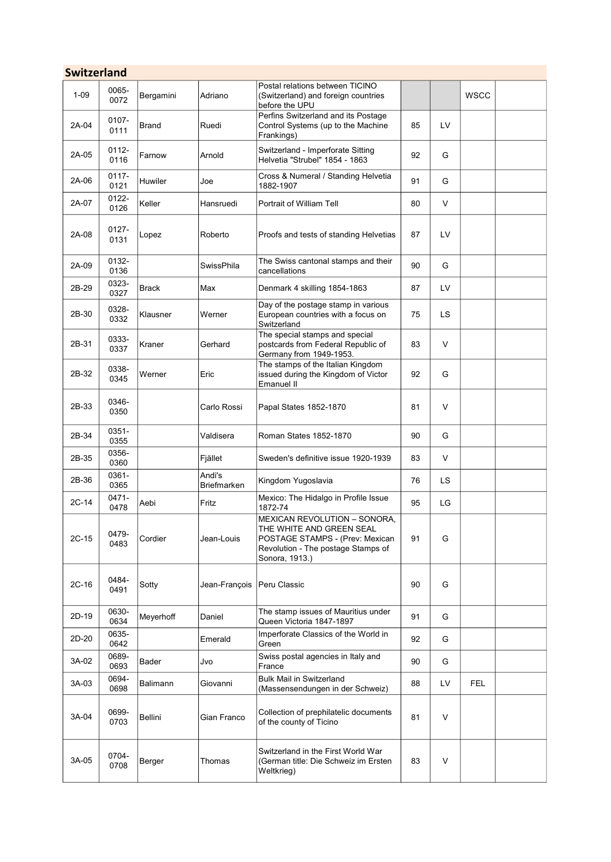| <b>Switzerland</b> |                  |                |                            |                                                                                                                                                            |    |     |             |  |
|--------------------|------------------|----------------|----------------------------|------------------------------------------------------------------------------------------------------------------------------------------------------------|----|-----|-------------|--|
| $1 - 09$           | 0065-<br>0072    | Bergamini      | Adriano                    | Postal relations between TICINO<br>(Switzerland) and foreign countries<br>before the UPU                                                                   |    |     | <b>WSCC</b> |  |
| 2A-04              | 0107-<br>0111    | Brand          | Ruedi                      | Perfins Switzerland and its Postage<br>Control Systems (up to the Machine<br>Frankings)                                                                    | 85 | LV  |             |  |
| 2A-05              | $0112 -$<br>0116 | Farnow         | Arnold                     | Switzerland - Imperforate Sitting<br>Helvetia "Strubel" 1854 - 1863                                                                                        | 92 | G   |             |  |
| 2A-06              | 0117-<br>0121    | <b>Huwiler</b> | Joe                        | Cross & Numeral / Standing Helvetia<br>1882-1907                                                                                                           | 91 | G   |             |  |
| 2A-07              | 0122-<br>0126    | Keller         | Hansruedi                  | Portrait of William Tell                                                                                                                                   | 80 | V   |             |  |
| 2A-08              | 0127-<br>0131    | Lopez          | Roberto                    | Proofs and tests of standing Helvetias                                                                                                                     | 87 | LV  |             |  |
| 2A-09              | 0132-<br>0136    |                | SwissPhila                 | The Swiss cantonal stamps and their<br>cancellations                                                                                                       | 90 | G   |             |  |
| 2B-29              | 0323-<br>0327    | <b>Brack</b>   | Max                        | Denmark 4 skilling 1854-1863                                                                                                                               | 87 | LV  |             |  |
| 2B-30              | 0328-<br>0332    | Klausner       | Werner                     | Day of the postage stamp in various<br>European countries with a focus on<br>Switzerland                                                                   | 75 | LS. |             |  |
| 2B-31              | 0333-<br>0337    | Kraner         | Gerhard                    | The special stamps and special<br>postcards from Federal Republic of<br>Germany from 1949-1953.                                                            | 83 | V   |             |  |
| 2B-32              | 0338-<br>0345    | Werner         | Eric                       | The stamps of the Italian Kingdom<br>issued during the Kingdom of Victor<br>Emanuel II                                                                     | 92 | G   |             |  |
| 2B-33              | 0346-<br>0350    |                | Carlo Rossi                | Papal States 1852-1870                                                                                                                                     | 81 | V   |             |  |
| 2B-34              | 0351-<br>0355    |                | Valdisera                  | Roman States 1852-1870                                                                                                                                     | 90 | G   |             |  |
| 2B-35              | 0356-<br>0360    |                | Fjället                    | Sweden's definitive issue 1920-1939                                                                                                                        | 83 | V   |             |  |
| 2B-36              | 0361-<br>0365    |                | Andi's<br>Briefmarken      | Kingdom Yugoslavia                                                                                                                                         | 76 | LS. |             |  |
| 2C-14              | 0471-<br>0478    | Aebi           | Fritz                      | Mexico: The Hidalgo in Profile Issue<br>1872-74                                                                                                            | 95 | LG  |             |  |
| $2C-15$            | 0479-<br>0483    | Cordier        | Jean-Louis                 | <b>MEXICAN REVOLUTION - SONORA,</b><br>THE WHITE AND GREEN SEAL<br>POSTAGE STAMPS - (Prev: Mexican<br>Revolution - The postage Stamps of<br>Sonora, 1913.) | 91 | G   |             |  |
| $2C-16$            | 0484-<br>0491    | Sotty          | Jean-François Peru Classic |                                                                                                                                                            | 90 | G   |             |  |
| 2D-19              | 0630-<br>0634    | Meyerhoff      | Daniel                     | The stamp issues of Mauritius under<br>Queen Victoria 1847-1897                                                                                            | 91 | G   |             |  |
| 2D-20              | 0635-<br>0642    |                | Emerald                    | Imperforate Classics of the World in<br>Green                                                                                                              | 92 | G   |             |  |
| 3A-02              | 0689-<br>0693    | Bader          | Jvo                        | Swiss postal agencies in Italy and<br>France                                                                                                               | 90 | G   |             |  |
| 3A-03              | 0694-<br>0698    | Balimann       | Giovanni                   | <b>Bulk Mail in Switzerland</b><br>(Massensendungen in der Schweiz)                                                                                        | 88 | LV  | <b>FEL</b>  |  |
| 3A-04              | 0699-<br>0703    | Bellini        | Gian Franco                | Collection of prephilatelic documents<br>of the county of Ticino                                                                                           | 81 | V   |             |  |
| 3A-05              | 0704-<br>0708    | Berger         | Thomas                     | Switzerland in the First World War<br>(German title: Die Schweiz im Ersten<br>Weltkrieg)                                                                   | 83 | V   |             |  |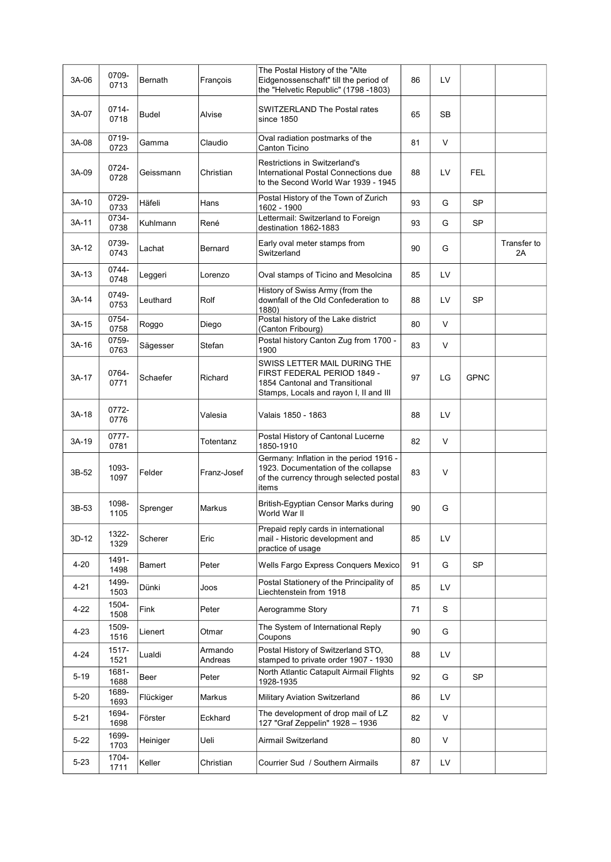| 3A-06    | 0709-<br>0713 | Bernath      | François           | The Postal History of the "Alte<br>Eidgenossenschaft" till the period of<br>the "Helvetic Republic" (1798 -1803)                        | 86 | LV     |             |                   |
|----------|---------------|--------------|--------------------|-----------------------------------------------------------------------------------------------------------------------------------------|----|--------|-------------|-------------------|
| 3A-07    | 0714-<br>0718 | <b>Budel</b> | Alvise             | SWITZERLAND The Postal rates<br>since 1850                                                                                              | 65 | SB     |             |                   |
| 3A-08    | 0719-<br>0723 | Gamma        | Claudio            | Oval radiation postmarks of the<br>Canton Ticino                                                                                        | 81 | V      |             |                   |
| 3A-09    | 0724-<br>0728 | Geissmann    | Christian          | Restrictions in Switzerland's<br>International Postal Connections due<br>to the Second World War 1939 - 1945                            | 88 | LV     | <b>FEL</b>  |                   |
| 3A-10    | 0729-<br>0733 | Häfeli       | Hans               | Postal History of the Town of Zurich<br>1602 - 1900                                                                                     | 93 | G      | <b>SP</b>   |                   |
| 3A-11    | 0734-<br>0738 | Kuhlmann     | René               | Lettermail: Switzerland to Foreign<br>destination 1862-1883                                                                             | 93 | G      | SP          |                   |
| 3A-12    | 0739-<br>0743 | Lachat       | Bernard            | Early oval meter stamps from<br>Switzerland                                                                                             | 90 | G      |             | Transfer to<br>2A |
| 3A-13    | 0744-<br>0748 | Leggeri      | Lorenzo            | Oval stamps of Ticino and Mesolcina                                                                                                     | 85 | LV     |             |                   |
| 3A-14    | 0749-<br>0753 | Leuthard     | Rolf               | History of Swiss Army (from the<br>downfall of the Old Confederation to<br>1880)                                                        | 88 | LV     | SP          |                   |
| 3A-15    | 0754-<br>0758 | Roggo        | Diego              | Postal history of the Lake district<br>(Canton Fribourg)                                                                                | 80 | $\vee$ |             |                   |
| 3A-16    | 0759-<br>0763 | Sägesser     | Stefan             | Postal history Canton Zug from 1700 -<br>1900                                                                                           | 83 | V      |             |                   |
| 3A-17    | 0764-<br>0771 | Schaefer     | Richard            | SWISS LETTER MAIL DURING THE<br>FIRST FEDERAL PERIOD 1849 -<br>1854 Cantonal and Transitional<br>Stamps, Locals and rayon I, II and III | 97 | LG     | <b>GPNC</b> |                   |
| 3A-18    | 0772-<br>0776 |              | Valesia            | Valais 1850 - 1863                                                                                                                      | 88 | LV     |             |                   |
| 3A-19    | 0777-<br>0781 |              | Totentanz          | Postal History of Cantonal Lucerne<br>1850-1910                                                                                         | 82 | V      |             |                   |
| 3B-52    | 1093-<br>1097 | Felder       | Franz-Josef        | Germany: Inflation in the period 1916 -<br>1923. Documentation of the collapse<br>of the currency through selected postal<br>items      | 83 | V      |             |                   |
| 3B-53    | 1098-<br>1105 | Sprenger     | Markus             | British-Egyptian Censor Marks during<br>World War II                                                                                    | 90 | G      |             |                   |
| 3D-12    | 1322-<br>1329 | Scherer      | Eric               | Prepaid reply cards in international<br>mail - Historic development and<br>practice of usage                                            | 85 | LV     |             |                   |
| 4-20     | 1491-<br>1498 | Bamert       | Peter              | Wells Fargo Express Conquers Mexico                                                                                                     | 91 | G      | <b>SP</b>   |                   |
| 4-21     | 1499-<br>1503 | Dünki        | Joos               | Postal Stationery of the Principality of<br>Liechtenstein from 1918                                                                     | 85 | LV     |             |                   |
| 4-22     | 1504-<br>1508 | Fink         | Peter              | Aerogramme Story                                                                                                                        | 71 | S      |             |                   |
| 4-23     | 1509-<br>1516 | Lienert      | Otmar              | The System of International Reply<br>Coupons                                                                                            | 90 | G      |             |                   |
| 4-24     | 1517-<br>1521 | Lualdi       | Armando<br>Andreas | Postal History of Switzerland STO,<br>stamped to private order 1907 - 1930                                                              | 88 | LV     |             |                   |
| $5 - 19$ | 1681-<br>1688 | Beer         | Peter              | North Atlantic Catapult Airmail Flights<br>1928-1935                                                                                    | 92 | G      | SP          |                   |
| $5 - 20$ | 1689-<br>1693 | Flückiger    | Markus             | Military Aviation Switzerland                                                                                                           | 86 | LV     |             |                   |
| 5-21     | 1694-<br>1698 | Förster      | Eckhard            | The development of drop mail of LZ<br>127 "Graf Zeppelin" 1928 - 1936                                                                   | 82 | V      |             |                   |
| 5-22     | 1699-<br>1703 | Heiniger     | Ueli               | Airmail Switzerland                                                                                                                     | 80 | V      |             |                   |
| 5-23     | 1704-<br>1711 | Keller       | Christian          | Courrier Sud / Southern Airmails                                                                                                        | 87 | LV     |             |                   |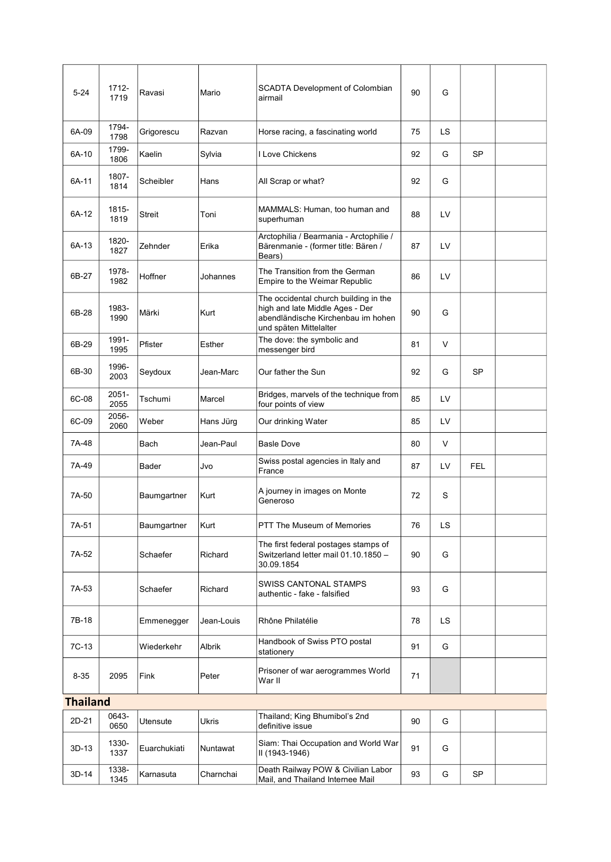| $5 - 24$        | 1712-<br>1719 | Ravasi        | Mario         | SCADTA Development of Colombian<br>airmail                                                                                               | 90 | G   |            |  |
|-----------------|---------------|---------------|---------------|------------------------------------------------------------------------------------------------------------------------------------------|----|-----|------------|--|
| 6A-09           | 1794-<br>1798 | Grigorescu    | Razvan        | Horse racing, a fascinating world                                                                                                        | 75 | LS. |            |  |
| 6A-10           | 1799-<br>1806 | Kaelin        | Sylvia        | I Love Chickens                                                                                                                          | 92 | G   | <b>SP</b>  |  |
| 6A-11           | 1807-<br>1814 | Scheibler     | Hans          | All Scrap or what?                                                                                                                       | 92 | G   |            |  |
| 6A-12           | 1815-<br>1819 | <b>Streit</b> | Toni          | MAMMALS: Human, too human and<br>superhuman                                                                                              | 88 | LV  |            |  |
| 6A-13           | 1820-<br>1827 | Zehnder       | Erika         | Arctophilia / Bearmania - Arctophilie /<br>Bärenmanie - (former title: Bären /<br>Bears)                                                 | 87 | LV  |            |  |
| 6B-27           | 1978-<br>1982 | Hoffner       | Johannes      | The Transition from the German<br>Empire to the Weimar Republic                                                                          | 86 | LV  |            |  |
| 6B-28           | 1983-<br>1990 | Märki         | Kurt          | The occidental church building in the<br>high and late Middle Ages - Der<br>abendländische Kirchenbau im hohen<br>und späten Mittelalter | 90 | G   |            |  |
| 6B-29           | 1991-<br>1995 | Pfister       | Esther        | The dove: the symbolic and<br>messenger bird                                                                                             | 81 | V   |            |  |
| 6B-30           | 1996-<br>2003 | Seydoux       | Jean-Marc     | Our father the Sun                                                                                                                       | 92 | G   | SP         |  |
| 6C-08           | 2051-<br>2055 | Tschumi       | Marcel        | Bridges, marvels of the technique from<br>four points of view                                                                            | 85 | LV  |            |  |
| 6C-09           | 2056-<br>2060 | Weber         | Hans Jürg     | Our drinking Water                                                                                                                       | 85 | LV  |            |  |
| 7A-48           |               | Bach          | Jean-Paul     | <b>Basle Dove</b>                                                                                                                        | 80 | V   |            |  |
| 7A-49           |               | Bader         | Jvo           | Swiss postal agencies in Italy and<br>France                                                                                             | 87 | LV  | <b>FEL</b> |  |
| 7A-50           |               | Baumgartner   | Kurt          | A journey in images on Monte<br>Generoso                                                                                                 | 72 | S   |            |  |
| 7A-51           |               | Baumgartner   | Kurt          | PTT The Museum of Memories                                                                                                               | 76 | LS. |            |  |
| 7A-52           |               | Schaefer      | Richard       | The first federal postages stamps of<br>Switzerland letter mail 01.10.1850 -<br>30.09.1854                                               | 90 | G   |            |  |
| 7A-53           |               | Schaefer      | Richard       | <b>SWISS CANTONAL STAMPS</b><br>authentic - fake - falsified                                                                             | 93 | G   |            |  |
| 7B-18           |               | Emmenegger    | Jean-Louis    | Rhône Philatélie                                                                                                                         | 78 | LS  |            |  |
| 7C-13           |               | Wiederkehr    | <b>Albrik</b> | Handbook of Swiss PTO postal<br>stationery                                                                                               | 91 | G   |            |  |
| $8 - 35$        | 2095          | Fink          | Peter         | Prisoner of war aerogrammes World<br>War II                                                                                              | 71 |     |            |  |
| <b>Thailand</b> |               |               |               |                                                                                                                                          |    |     |            |  |
| 2D-21           | 0643-<br>0650 | Utensute      | Ukris         | Thailand; King Bhumibol's 2nd<br>definitive issue                                                                                        | 90 | G   |            |  |
| 3D-13           | 1330-<br>1337 | Euarchukiati  | Nuntawat      | Siam: Thai Occupation and World War<br>II (1943-1946)                                                                                    | 91 | G   |            |  |
| 3D-14           | 1338-<br>1345 | Karnasuta     | Charnchai     | Death Railway POW & Civilian Labor<br>Mail, and Thailand Internee Mail                                                                   | 93 | G   | SP         |  |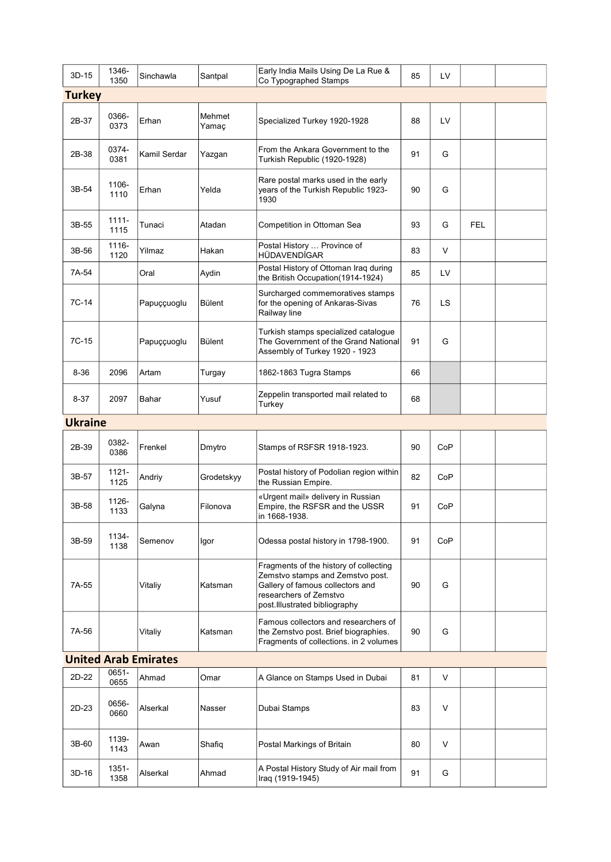| 3D-15          | 1346-<br>1350 | Sinchawla                   | Santpal         | Early India Mails Using De La Rue &<br>Co Typographed Stamps                                                                                                              | 85 | LV  |            |  |
|----------------|---------------|-----------------------------|-----------------|---------------------------------------------------------------------------------------------------------------------------------------------------------------------------|----|-----|------------|--|
| Turkey         |               |                             |                 |                                                                                                                                                                           |    |     |            |  |
| 2B-37          | 0366-<br>0373 | Erhan                       | Mehmet<br>Yamaç | Specialized Turkey 1920-1928                                                                                                                                              | 88 | LV  |            |  |
| 2B-38          | 0374-<br>0381 | Kamil Serdar                | Yazgan          | From the Ankara Government to the<br>Turkish Republic (1920-1928)                                                                                                         | 91 | G   |            |  |
| 3B-54          | 1106-<br>1110 | Erhan                       | Yelda           | Rare postal marks used in the early<br>years of the Turkish Republic 1923-<br>1930                                                                                        | 90 | G   |            |  |
| 3B-55          | 1111-<br>1115 | Tunaci                      | Atadan          | Competition in Ottoman Sea                                                                                                                                                | 93 | G   | <b>FEL</b> |  |
| 3B-56          | 1116-<br>1120 | Yilmaz                      | Hakan           | Postal History  Province of<br>HÜDAVENDİGAR                                                                                                                               | 83 | V   |            |  |
| 7A-54          |               | Oral                        | Aydin           | Postal History of Ottoman Iraq during<br>the British Occupation(1914-1924)                                                                                                | 85 | LV  |            |  |
| 7C-14          |               | Papuççuoglu                 | Bülent          | Surcharged commemoratives stamps<br>for the opening of Ankaras-Sivas<br>Railway line                                                                                      | 76 | LS  |            |  |
| 7C-15          |               | Papuççuoglu                 | Bülent          | Turkish stamps specialized catalogue<br>The Government of the Grand National<br>Assembly of Turkey 1920 - 1923                                                            | 91 | G   |            |  |
| $8 - 36$       | 2096          | Artam                       | Turgay          | 1862-1863 Tugra Stamps                                                                                                                                                    | 66 |     |            |  |
| $8 - 37$       | 2097          | Bahar                       | Yusuf           | Zeppelin transported mail related to<br>Turkey                                                                                                                            | 68 |     |            |  |
| <b>Ukraine</b> |               |                             |                 |                                                                                                                                                                           |    |     |            |  |
| 2B-39          | 0382-<br>0386 | Frenkel                     | Dmytro          | Stamps of RSFSR 1918-1923.                                                                                                                                                | 90 | CoP |            |  |
| 3B-57          | 1121-<br>1125 | Andriy                      | Grodetskyy      | Postal history of Podolian region within<br>the Russian Empire.                                                                                                           | 82 | CoP |            |  |
| 3B-58          | 1126-<br>1133 | Galyna                      | Filonova        | «Urgent mail» delivery in Russian<br>Empire, the RSFSR and the USSR<br>in 1668-1938.                                                                                      | 91 | CoP |            |  |
| 3B-59          | 1134-<br>1138 | Semenov                     | lgor            | Odessa postal history in 1798-1900.                                                                                                                                       | 91 | CoP |            |  |
| 7A-55          |               | Vitaliy                     | Katsman         | Fragments of the history of collecting<br>Zemstvo stamps and Zemstvo post.<br>Gallery of famous collectors and<br>researchers of Zemstvo<br>post.Illustrated bibliography | 90 | G   |            |  |
| 7A-56          |               | Vitaliy                     | Katsman         | Famous collectors and researchers of<br>the Zemstvo post. Brief biographies.<br>Fragments of collections. in 2 volumes                                                    | 90 | G   |            |  |
|                |               | <b>United Arab Emirates</b> |                 |                                                                                                                                                                           |    |     |            |  |
| 2D-22          | 0651-<br>0655 | Ahmad                       | Omar            | A Glance on Stamps Used in Dubai                                                                                                                                          | 81 | V   |            |  |
| 2D-23          | 0656-<br>0660 | Alserkal                    | Nasser          | Dubai Stamps                                                                                                                                                              | 83 | V   |            |  |
| 3B-60          | 1139-<br>1143 | Awan                        | Shafiq          | Postal Markings of Britain                                                                                                                                                | 80 | V   |            |  |
| 3D-16          | 1351-<br>1358 | Alserkal                    | Ahmad           | A Postal History Study of Air mail from<br>Iraq (1919-1945)                                                                                                               | 91 | G   |            |  |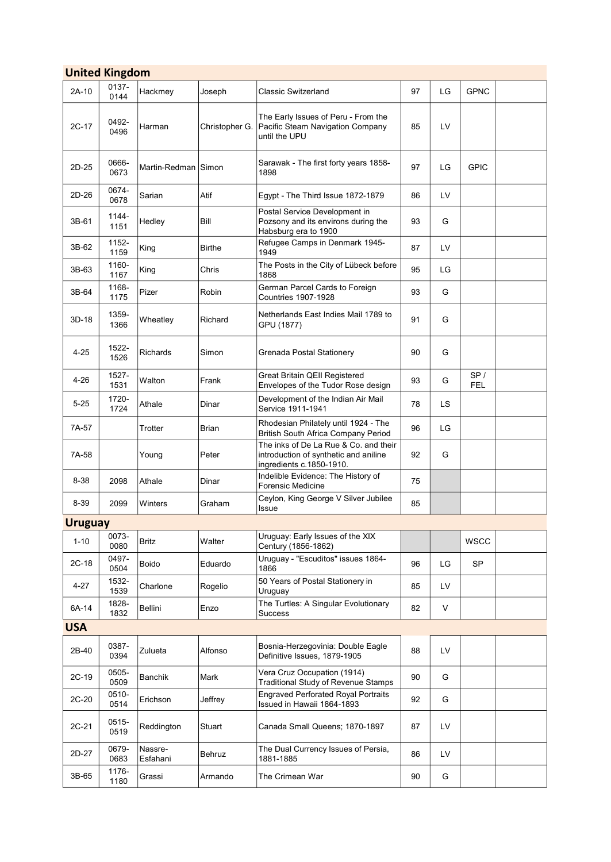|                | <b>United Kingdom</b> |                     |                |                                                                                                            |    |     |                   |  |
|----------------|-----------------------|---------------------|----------------|------------------------------------------------------------------------------------------------------------|----|-----|-------------------|--|
| 2A-10          | 0137-<br>0144         | Hackmey             | Joseph         | <b>Classic Switzerland</b>                                                                                 | 97 | LG  | <b>GPNC</b>       |  |
| $2C-17$        | 0492-<br>0496         | Harman              | Christopher G. | The Early Issues of Peru - From the<br>Pacific Steam Navigation Company<br>until the UPU                   | 85 | LV  |                   |  |
| 2D-25          | 0666-<br>0673         | Martin-Redman Simon |                | Sarawak - The first forty years 1858-<br>1898                                                              | 97 | LG  | <b>GPIC</b>       |  |
| 2D-26          | 0674-<br>0678         | Sarian              | Atif           | Egypt - The Third Issue 1872-1879                                                                          | 86 | LV  |                   |  |
| 3B-61          | 1144-<br>1151         | Hedley              | Bill           | Postal Service Development in<br>Pozsony and its environs during the<br>Habsburg era to 1900               | 93 | G   |                   |  |
| 3B-62          | 1152-<br>1159         | King                | Birthe         | Refugee Camps in Denmark 1945-<br>1949                                                                     | 87 | LV  |                   |  |
| 3B-63          | 1160-<br>1167         | King                | Chris          | The Posts in the City of Lübeck before<br>1868                                                             | 95 | LG  |                   |  |
| 3B-64          | 1168-<br>1175         | Pizer               | Robin          | German Parcel Cards to Foreign<br><b>Countries 1907-1928</b>                                               | 93 | G   |                   |  |
| 3D-18          | 1359-<br>1366         | Wheatley            | Richard        | Netherlands East Indies Mail 1789 to<br>GPU (1877)                                                         | 91 | G   |                   |  |
| $4 - 25$       | 1522-<br>1526         | <b>Richards</b>     | Simon          | Grenada Postal Stationery                                                                                  | 90 | G   |                   |  |
| $4 - 26$       | 1527-<br>1531         | Walton              | Frank          | Great Britain QEII Registered<br>Envelopes of the Tudor Rose design                                        | 93 | G   | SP/<br><b>FEL</b> |  |
| $5 - 25$       | 1720-<br>1724         | Athale              | Dinar          | Development of the Indian Air Mail<br>Service 1911-1941                                                    | 78 | LS. |                   |  |
| 7A-57          |                       | Trotter             | Brian          | Rhodesian Philately until 1924 - The<br>British South Africa Company Period                                | 96 | LG  |                   |  |
| 7A-58          |                       | Young               | Peter          | The inks of De La Rue & Co. and their<br>introduction of synthetic and aniline<br>ingredients c.1850-1910. | 92 | G   |                   |  |
| 8-38           | 2098                  | Athale              | Dinar          | Indelible Evidence: The History of<br><b>Forensic Medicine</b>                                             | 75 |     |                   |  |
| 8-39           | 2099                  | Winters             | Graham         | Ceylon, King George V Silver Jubilee<br>Issue                                                              | 85 |     |                   |  |
| <b>Uruguay</b> |                       |                     |                |                                                                                                            |    |     |                   |  |
| $1 - 10$       | 0073-<br>0080         | <b>Britz</b>        | Walter         | Uruguay: Early Issues of the XIX<br>Century (1856-1862)                                                    |    |     | <b>WSCC</b>       |  |
| $2C-18$        | 0497-<br>0504         | Boido               | Eduardo        | Uruguay - "Escuditos" issues 1864-<br>1866                                                                 | 96 | LG  | <b>SP</b>         |  |
| $4 - 27$       | 1532-<br>1539         | Charlone            | Rogelio        | 50 Years of Postal Stationery in<br>Uruguay                                                                | 85 | LV  |                   |  |
| 6A-14          | 1828-<br>1832         | Bellini             | Enzo           | The Turtles: A Singular Evolutionary<br>Success                                                            | 82 | V   |                   |  |
| <b>USA</b>     |                       |                     |                |                                                                                                            |    |     |                   |  |
| 2B-40          | 0387-<br>0394         | Zulueta             | Alfonso        | Bosnia-Herzegovinia: Double Eagle<br>Definitive Issues, 1879-1905                                          | 88 | LV  |                   |  |
| 2C-19          | 0505-<br>0509         | Banchik             | Mark           | Vera Cruz Occupation (1914)<br><b>Traditional Study of Revenue Stamps</b>                                  | 90 | G   |                   |  |
| 2C-20          | 0510-<br>0514         | Erichson            | Jeffrey        | <b>Engraved Perforated Royal Portraits</b><br>Issued in Hawaii 1864-1893                                   | 92 | G   |                   |  |
| 2C-21          | 0515-<br>0519         | Reddington          | Stuart         | Canada Small Queens; 1870-1897                                                                             | 87 | LV  |                   |  |
| 2D-27          | 0679-<br>0683         | Nassre-<br>Esfahani | Behruz         | The Dual Currency Issues of Persia,<br>1881-1885                                                           | 86 | LV  |                   |  |
| 3B-65          | 1176-<br>1180         | Grassi              | Armando        | The Crimean War                                                                                            | 90 | G   |                   |  |